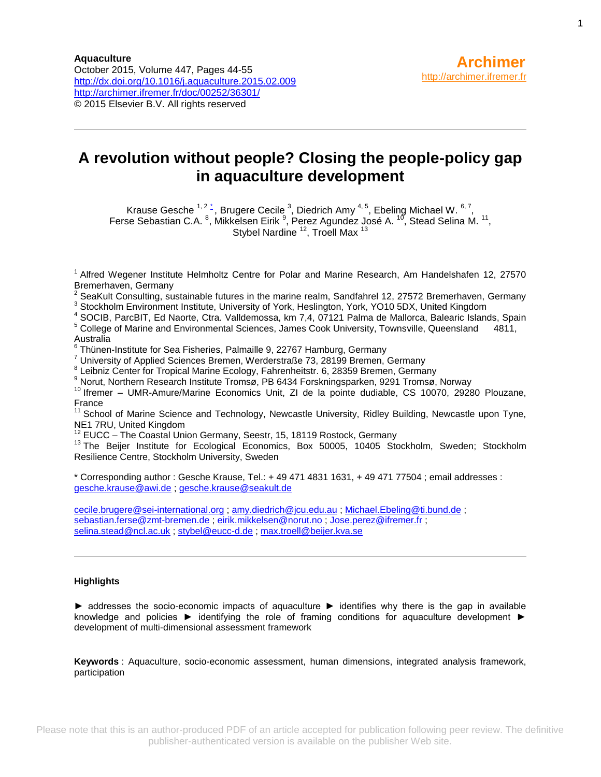### **A revolution without people? Closing the people-policy gap in aquaculture development**

Krause Gesche  $1, 2^{\degree}$ , Brugere Cecile  $^3$ , Diedrich Amy  $^{4, 5}$ , Ebeling Michael W.  $^{6, 7}$ , Ferse Sebastian C.A. <sup>8</sup>, Mikkelsen Eirik <sup>9</sup>, Perez Agundez José A. <sup>10</sup>, Stead Selina M. <sup>11</sup>, Stybel Nardine<sup>12</sup>, Troell Max<sup>13</sup>

<sup>1</sup> Alfred Wegener Institute Helmholtz Centre for Polar and Marine Research, Am Handelshafen 12, 27570 Bremerhaven, Germany

 $2$  SeaKult Consulting, sustainable futures in the marine realm, Sandfahrel 12, 27572 Bremerhaven, Germany

<sup>3</sup> Stockholm Environment Institute, University of York, Heslington, York, YO10 5DX, United Kingdom

<sup>4</sup> SOCIB, ParcBIT, Ed Naorte, Ctra. Valldemossa, km 7,4, 07121 Palma de Mallorca, Balearic Islands, Spain

<sup>5</sup> College of Marine and Environmental Sciences, James Cook University, Townsville, Queensland 4811, Australia

6 Thünen-Institute for Sea Fisheries, Palmaille 9, 22767 Hamburg, Germany

 $7$  University of Applied Sciences Bremen, Werderstraße 73, 28199 Bremen, Germany

<sup>8</sup> Leibniz Center for Tropical Marine Ecology, Fahrenheitstr. 6, 28359 Bremen, Germany

<sup>9</sup> Norut, Northern Research Institute Tromsø, PB 6434 Forskningsparken, 9291 Tromsø, Norway

10 Ifremer – UMR-Amure/Marine Economics Unit, ZI de la pointe dudiable, CS 10070, 29280 Plouzane, France

<sup>11</sup> School of Marine Science and Technology, Newcastle University, Ridley Building, Newcastle upon Tyne, NE1 7RU, United Kingdom

<sup>12</sup> EUCC – The Coastal Union Germany, Seestr, 15, 18119 Rostock, Germany

<sup>13</sup> The Beijer Institute for Ecological Economics, Box 50005, 10405 Stockholm, Sweden; Stockholm Resilience Centre, Stockholm University, Sweden

\* Corresponding author : Gesche Krause, Tel.: + 49 471 4831 1631, + 49 471 77504 ; email addresses : [gesche.krause@awi.de](mailto:gesche.krause@awi.de) ; [gesche.krause@seakult.de](mailto:gesche.krause@seakult.de)

[cecile.brugere@sei-international.org](mailto:cecile.brugere@sei-international.org) ; [amy.diedrich@jcu.edu.au](mailto:amy.diedrich@jcu.edu.au) [; Michael.Ebeling@ti.bund.de](mailto:Michael.Ebeling@ti.bund.de) ; [sebastian.ferse@zmt-bremen.de](mailto:sebastian.ferse@zmt-bremen.de) ; [eirik.mikkelsen@norut.no](mailto:eirik.mikkelsen@norut.no) ; [Jose.perez@ifremer.fr](mailto:Jose.perez@ifremer.fr) ; [selina.stead@ncl.ac.uk](mailto:selina.stead@ncl.ac.uk) ; [stybel@eucc-d.de](mailto:stybel@eucc-d.de) ; [max.troell@beijer.kva.se](mailto:max.troell@beijer.kva.se)

#### **Highlights**

► addresses the socio-economic impacts of aquaculture ► identifies why there is the gap in available knowledge and policies ► identifying the role of framing conditions for aquaculture development ► development of multi-dimensional assessment framework

**Keywords** : Aquaculture, socio-economic assessment, human dimensions, integrated analysis framework, participation

1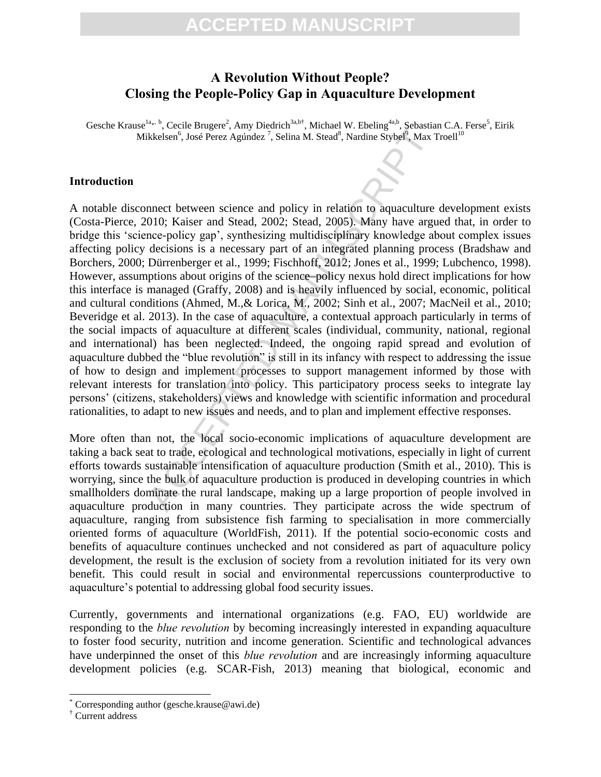### **A Revolution Without People? Closing the People-Policy Gap in Aquaculture Development**

Gesche Krause<sup>1a<sub>∗</sub>, b</sup>, Cecile Brugere<sup>2</sup>, Amy Diedrich<sup>3a,b†</sup>, Michael W. Ebeling<sup>4a,b</sup>, Sebastian C.A. Ferse<sup>5</sup>, Eirik Mikkelsen<sup>6</sup>, José Perez Agúndez<sup>7</sup>, Selina M. Stead<sup>8</sup>, Nardine Stybel<sup>9</sup>, Max Troell<sup>10</sup>

#### **Introduction**

Constrained W. Exoting Sexustant (Manual W. Exoting Styber, Anxieties (Navis Theorem Styber, Navis Press, Againdez, <sup>7</sup>, Selina M. Stead, Nardine Styber, Max T<br>
ance the tetween science and policy in relation to aquacultur A notable disconnect between science and policy in relation to aquaculture development exists (Costa-Pierce, 2010; Kaiser and Stead, 2002; Stead, 2005). Many have argued that, in order to bridge this 'science-policy gap', synthesizing multidisciplinary knowledge about complex issues affecting policy decisions is a necessary part of an integrated planning process (Bradshaw and Borchers, 2000; Dürrenberger et al., 1999; Fischhoff, 2012; Jones et al., 1999; Lubchenco, 1998). However, assumptions about origins of the science–policy nexus hold direct implications for how this interface is managed (Graffy, 2008) and is heavily influenced by social, economic, political and cultural conditions (Ahmed, M.,& Lorica, M., 2002; Sinh et al., 2007; MacNeil et al., 2010; Beveridge et al. 2013). In the case of aquaculture, a contextual approach particularly in terms of the social impacts of aquaculture at different scales (individual, community, national, regional and international) has been neglected. Indeed, the ongoing rapid spread and evolution of aquaculture dubbed the "blue revolution" is still in its infancy with respect to addressing the issue of how to design and implement processes to support management informed by those with relevant interests for translation into policy. This participatory process seeks to integrate lay persons' (citizens, stakeholders) views and knowledge with scientific information and procedural rationalities, to adapt to new issues and needs, and to plan and implement effective responses.

More often than not, the local socio-economic implications of aquaculture development are taking a back seat to trade, ecological and technological motivations, especially in light of current efforts towards sustainable intensification of aquaculture production (Smith et al., 2010). This is worrying, since the bulk of aquaculture production is produced in developing countries in which smallholders dominate the rural landscape, making up a large proportion of people involved in aquaculture production in many countries. They participate across the wide spectrum of aquaculture, ranging from subsistence fish farming to specialisation in more commercially oriented forms of aquaculture (WorldFish, 2011). If the potential socio-economic costs and benefits of aquaculture continues unchecked and not considered as part of aquaculture policy development, the result is the exclusion of society from a revolution initiated for its very own benefit. This could result in social and environmental repercussions counterproductive to aquaculture's potential to addressing global food security issues.

Currently, governments and international organizations (e.g. FAO, EU) worldwide are responding to the *blue revolution* by becoming increasingly interested in expanding aquaculture to foster food security, nutrition and income generation. Scientific and technological advances have underpinned the onset of this *blue revolution* and are increasingly informing aquaculture development policies (e.g. SCAR-Fish, 2013) meaning that biological, economic and

l

Corresponding author (gesche.krause@awi.de)

<sup>†</sup> Current address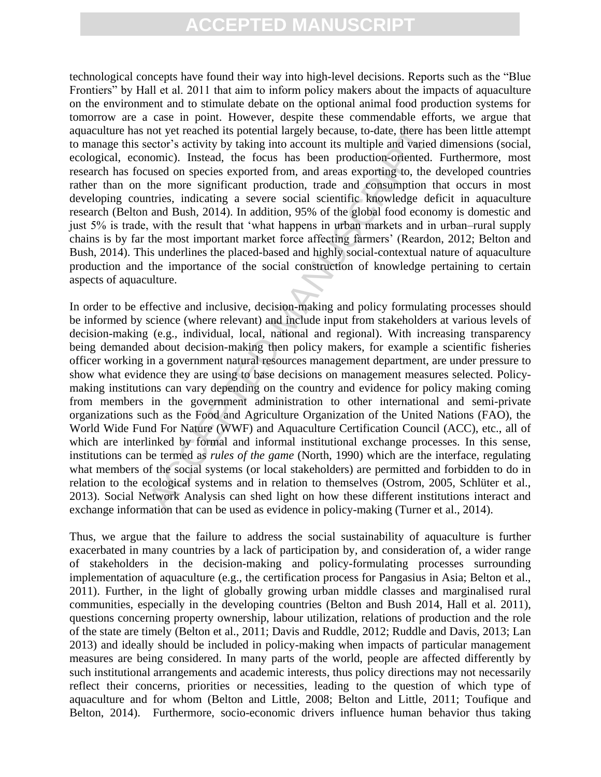technological concepts have found their way into high-level decisions. Reports such as the "Blue" Frontiers" by Hall et al. 2011 that aim to inform policy makers about the impacts of aquaculture on the environment and to stimulate debate on the optional animal food production systems for tomorrow are a case in point. However, despite these commendable efforts, we argue that aquaculture has not yet reached its potential largely because, to-date, there has been little attempt to manage this sector's activity by taking into account its multiple and varied dimensions (social, ecological, economic). Instead, the focus has been production-oriented. Furthermore, most research has focused on species exported from, and areas exporting to, the developed countries rather than on the more significant production, trade and consumption that occurs in most developing countries, indicating a severe social scientific knowledge deficit in aquaculture research (Belton and Bush, 2014). In addition, 95% of the global food economy is domestic and just 5% is trade, with the result that 'what happens in urban markets and in urban–rural supply chains is by far the most important market force affecting farmers' (Reardon, 2012; Belton and Bush, 2014). This underlines the placed-based and highly social-contextual nature of aquaculture production and the importance of the social construction of knowledge pertaining to certain aspects of aquaculture.

not yet reached its potential largely because, to-date, there has<br>ector's activity by taking into account its multiple and varied<br>conomic). Instead, the focus has been production-oriented.<br>used on species exported from, an In order to be effective and inclusive, decision-making and policy formulating processes should be informed by science (where relevant) and include input from stakeholders at various levels of decision-making (e.g., individual, local, national and regional). With increasing transparency being demanded about decision-making then policy makers, for example a scientific fisheries officer working in a government natural resources management department, are under pressure to show what evidence they are using to base decisions on management measures selected. Policymaking institutions can vary depending on the country and evidence for policy making coming from members in the government administration to other international and semi-private organizations such as the Food and Agriculture Organization of the United Nations (FAO), the World Wide Fund For Nature (WWF) and Aquaculture Certification Council (ACC), etc., all of which are interlinked by formal and informal institutional exchange processes. In this sense, institutions can be termed as *rules of the game* (North, 1990) which are the interface, regulating what members of the social systems (or local stakeholders) are permitted and forbidden to do in relation to the ecological systems and in relation to themselves (Ostrom, 2005, Schlüter et al., 2013). Social Network Analysis can shed light on how these different institutions interact and exchange information that can be used as evidence in policy-making (Turner et al., 2014).

Thus, we argue that the failure to address the social sustainability of aquaculture is further exacerbated in many countries by a lack of participation by, and consideration of, a wider range of stakeholders in the decision-making and policy-formulating processes surrounding implementation of aquaculture (e.g., the certification process for Pangasius in Asia; Belton et al., 2011). Further, in the light of globally growing urban middle classes and marginalised rural communities, especially in the developing countries (Belton and Bush 2014, Hall et al. 2011), questions concerning property ownership, labour utilization, relations of production and the role of the state are timely (Belton et al., 2011; Davis and Ruddle, 2012; Ruddle and Davis, 2013; Lan 2013) and ideally should be included in policy-making when impacts of particular management measures are being considered. In many parts of the world, people are affected differently by such institutional arrangements and academic interests, thus policy directions may not necessarily reflect their concerns, priorities or necessities, leading to the question of which type of aquaculture and for whom (Belton and Little, 2008; Belton and Little, 2011; Toufique and Belton, 2014). Furthermore, socio-economic drivers influence human behavior thus taking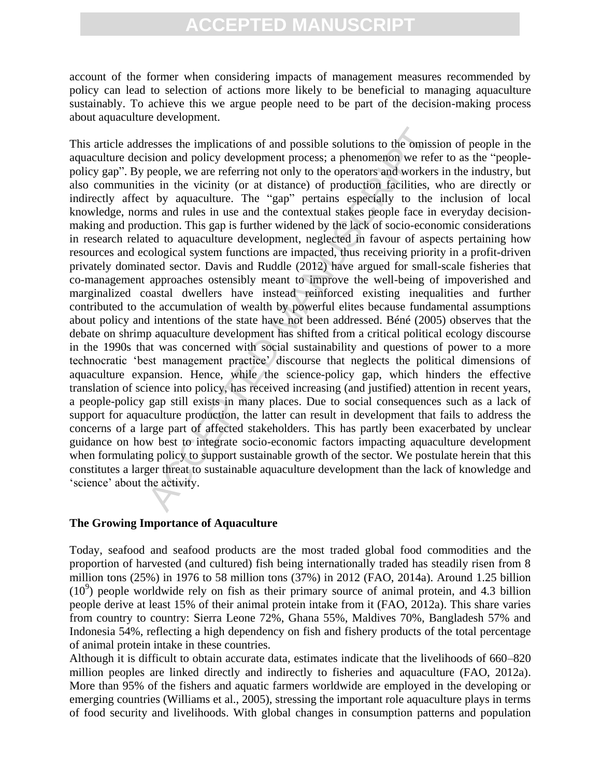account of the former when considering impacts of management measures recommended by policy can lead to selection of actions more likely to be beneficial to managing aquaculture sustainably. To achieve this we argue people need to be part of the decision-making process about aquaculture development.

resses the implications of and possible solutions to the omissis<br>ision and policy development process; a phenomenon we refereople, we are referring not only to the operators and workers<br>is in the vicinity (or at distance) This article addresses the implications of and possible solutions to the omission of people in the aquaculture decision and policy development process; a phenomenon we refer to as the "peoplepolicy gap". By people, we are referring not only to the operators and workers in the industry, but also communities in the vicinity (or at distance) of production facilities, who are directly or indirectly affect by aquaculture. The "gap" pertains especially to the inclusion of local knowledge, norms and rules in use and the contextual stakes people face in everyday decisionmaking and production. This gap is further widened by the lack of socio-economic considerations in research related to aquaculture development, neglected in favour of aspects pertaining how resources and ecological system functions are impacted, thus receiving priority in a profit-driven privately dominated sector. Davis and Ruddle (2012) have argued for small-scale fisheries that co-management approaches ostensibly meant to improve the well-being of impoverished and marginalized coastal dwellers have instead reinforced existing inequalities and further contributed to the accumulation of wealth by powerful elites because fundamental assumptions about policy and intentions of the state have not been addressed. Béné (2005) observes that the debate on shrimp aquaculture development has shifted from a critical political ecology discourse in the 1990s that was concerned with social sustainability and questions of power to a more technocratic ‗best management practice' discourse that neglects the political dimensions of aquaculture expansion. Hence, while the science-policy gap, which hinders the effective translation of science into policy, has received increasing (and justified) attention in recent years, a people-policy gap still exists in many places. Due to social consequences such as a lack of support for aquaculture production, the latter can result in development that fails to address the concerns of a large part of affected stakeholders. This has partly been exacerbated by unclear guidance on how best to integrate socio-economic factors impacting aquaculture development when formulating policy to support sustainable growth of the sector. We postulate herein that this constitutes a larger threat to sustainable aquaculture development than the lack of knowledge and 'science' about the activity.

#### **The Growing Importance of Aquaculture**

Today, seafood and seafood products are the most traded global food commodities and the proportion of harvested (and cultured) fish being internationally traded has steadily risen from 8 million tons (25%) in 1976 to 58 million tons (37%) in 2012 (FAO, 2014a). Around 1.25 billion  $(10<sup>9</sup>)$  people worldwide rely on fish as their primary source of animal protein, and 4.3 billion people derive at least 15% of their animal protein intake from it (FAO, 2012a). This share varies from country to country: Sierra Leone 72%, Ghana 55%, Maldives 70%, Bangladesh 57% and Indonesia 54%, reflecting a high dependency on fish and fishery products of the total percentage of animal protein intake in these countries.

Although it is difficult to obtain accurate data, estimates indicate that the livelihoods of 660–820 million peoples are linked directly and indirectly to fisheries and aquaculture (FAO, 2012a). More than 95% of the fishers and aquatic farmers worldwide are employed in the developing or emerging countries (Williams et al., 2005), stressing the important role aquaculture plays in terms of food security and livelihoods. With global changes in consumption patterns and population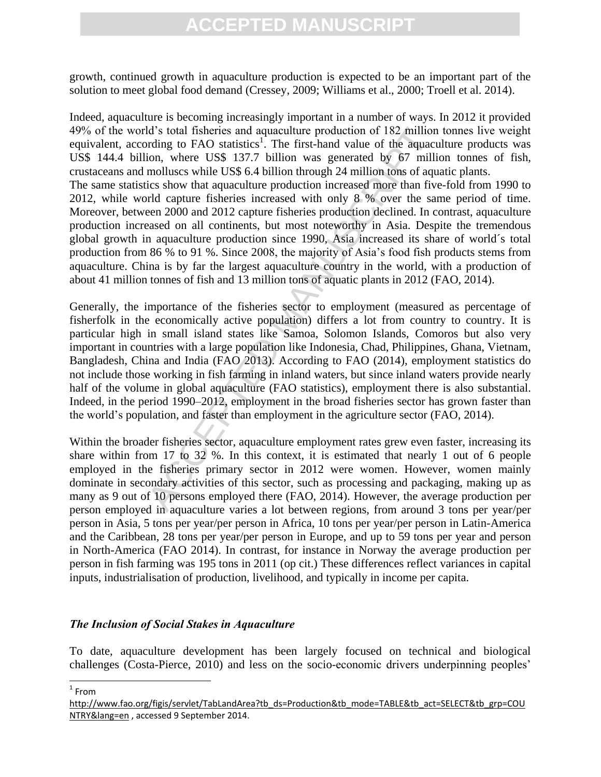growth, continued growth in aquaculture production is expected to be an important part of the solution to meet global food demand (Cressey, 2009; Williams et al., 2000; Troell et al. 2014).

Id's total fisheries and aquaculture production of 182 million<br>rolmg to FAO statistiss<sup>1</sup>. The first-hand value of the aquacu<br>ion, where US\$ 137.7 billion was generated by 67 milli<br>molluscs while US\$ 6.4 billion through 2 Indeed, aquaculture is becoming increasingly important in a number of ways. In 2012 it provided 49% of the world's total fisheries and aquaculture production of 182 million tonnes live weight equivalent, according to FAO statistics<sup>1</sup>. The first-hand value of the aquaculture products was US\$ 144.4 billion, where US\$ 137.7 billion was generated by 67 million tonnes of fish, crustaceans and molluscs while US\$ 6.4 billion through 24 million tons of aquatic plants. The same statistics show that aquaculture production increased more than five-fold from 1990 to 2012, while world capture fisheries increased with only 8 % over the same period of time. Moreover, between 2000 and 2012 capture fisheries production declined. In contrast, aquaculture production increased on all continents, but most noteworthy in Asia. Despite the tremendous global growth in aquaculture production since 1990, Asia increased its share of world´s total production from 86 % to 91 %. Since 2008, the majority of Asia's food fish products stems from aquaculture. China is by far the largest aquaculture country in the world, with a production of about 41 million tonnes of fish and 13 million tons of aquatic plants in 2012 (FAO, 2014).

Generally, the importance of the fisheries sector to employment (measured as percentage of fisherfolk in the economically active population) differs a lot from country to country. It is particular high in small island states like Samoa, Solomon Islands, Comoros but also very important in countries with a large population like Indonesia, Chad, Philippines, Ghana, Vietnam, Bangladesh, China and India (FAO 2013). According to FAO (2014), employment statistics do not include those working in fish farming in inland waters, but since inland waters provide nearly half of the volume in global aquaculture (FAO statistics), employment there is also substantial. Indeed, in the period 1990–2012, employment in the broad fisheries sector has grown faster than the world's population, and faster than employment in the agriculture sector (FAO, 2014).

Within the broader fisheries sector, aquaculture employment rates grew even faster, increasing its share within from 17 to 32 %. In this context, it is estimated that nearly 1 out of 6 people employed in the fisheries primary sector in 2012 were women. However, women mainly dominate in secondary activities of this sector, such as processing and packaging, making up as many as 9 out of 10 persons employed there (FAO, 2014). However, the average production per person employed in aquaculture varies a lot between regions, from around 3 tons per year/per person in Asia, 5 tons per year/per person in Africa, 10 tons per year/per person in Latin-America and the Caribbean, 28 tons per year/per person in Europe, and up to 59 tons per year and person in North-America (FAO 2014). In contrast, for instance in Norway the average production per person in fish farming was 195 tons in 2011 (op cit.) These differences reflect variances in capital inputs, industrialisation of production, livelihood, and typically in income per capita.

#### *The Inclusion of Social Stakes in Aquaculture*

To date, aquaculture development has been largely focused on technical and biological challenges (Costa-Pierce, 2010) and less on the socio-economic drivers underpinning peoples'

 $1$  From

l

[http://www.fao.org/figis/servlet/TabLandArea?tb\\_ds=Production&tb\\_mode=TABLE&tb\\_act=SELECT&tb\\_grp=COU](http://www.fao.org/figis/servlet/TabLandArea?tb_ds=Production&tb_mode=TABLE&tb_act=SELECT&tb_grp=COUNTRY&lang=en) [NTRY&lang=en](http://www.fao.org/figis/servlet/TabLandArea?tb_ds=Production&tb_mode=TABLE&tb_act=SELECT&tb_grp=COUNTRY&lang=en) , accessed 9 September 2014.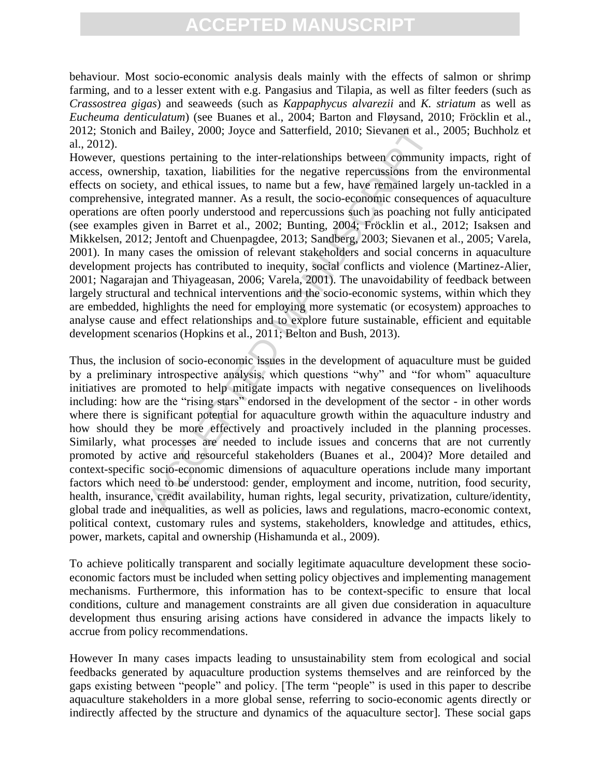behaviour. Most socio-economic analysis deals mainly with the effects of salmon or shrimp farming, and to a lesser extent with e.g. Pangasius and Tilapia, as well as filter feeders (such as *Crassostrea gigas*) and seaweeds (such as *Kappaphycus alvarezii* and *K. striatum* as well as *Eucheuma denticulatum*) (see Buanes et al., 2004; Barton and Fløysand, 2010; Fröcklin et al., 2012; Stonich and Bailey, 2000; Joyce and Satterfield, 2010; Sievanen et al., 2005; Buchholz et al., 2012).

and Bailey, 2000; Joyce and Satterfield, 2010; Sievanen et al.,<br>ions pertaining to the inter-relationships between communit<br>ip, taxation, liabilities for the negative repercussions from<br>integrated manner. As a result, the However, questions pertaining to the inter-relationships between community impacts, right of access, ownership, taxation, liabilities for the negative repercussions from the environmental effects on society, and ethical issues, to name but a few, have remained largely un-tackled in a comprehensive, integrated manner. As a result, the socio-economic consequences of aquaculture operations are often poorly understood and repercussions such as poaching not fully anticipated (see examples given in Barret et al., 2002; Bunting, 2004; Fröcklin et al., 2012; Isaksen and Mikkelsen, 2012; Jentoft and Chuenpagdee, 2013; Sandberg, 2003; Sievanen et al., 2005; Varela, 2001). In many cases the omission of relevant stakeholders and social concerns in aquaculture development projects has contributed to inequity, social conflicts and violence (Martinez-Alier, 2001; Nagarajan and Thiyageasan, 2006; Varela, 2001). The unavoidability of feedback between largely structural and technical interventions and the socio-economic systems, within which they are embedded, highlights the need for employing more systematic (or ecosystem) approaches to analyse cause and effect relationships and to explore future sustainable, efficient and equitable development scenarios (Hopkins et al., 2011; Belton and Bush, 2013).

Thus, the inclusion of socio-economic issues in the development of aquaculture must be guided by a preliminary introspective analysis, which questions "why" and "for whom" aquaculture initiatives are promoted to help mitigate impacts with negative consequences on livelihoods including: how are the "rising stars" endorsed in the development of the sector - in other words where there is significant potential for aquaculture growth within the aquaculture industry and how should they be more effectively and proactively included in the planning processes. Similarly, what processes are needed to include issues and concerns that are not currently promoted by active and resourceful stakeholders (Buanes et al., 2004)? More detailed and context-specific socio-economic dimensions of aquaculture operations include many important factors which need to be understood: gender, employment and income, nutrition, food security, health, insurance, credit availability, human rights, legal security, privatization, culture/identity, global trade and inequalities, as well as policies, laws and regulations, macro-economic context, political context, customary rules and systems, stakeholders, knowledge and attitudes, ethics, power, markets, capital and ownership (Hishamunda et al., 2009).

To achieve politically transparent and socially legitimate aquaculture development these socioeconomic factors must be included when setting policy objectives and implementing management mechanisms. Furthermore, this information has to be context-specific to ensure that local conditions, culture and management constraints are all given due consideration in aquaculture development thus ensuring arising actions have considered in advance the impacts likely to accrue from policy recommendations.

However In many cases impacts leading to unsustainability stem from ecological and social feedbacks generated by aquaculture production systems themselves and are reinforced by the gaps existing between "people" and policy. [The term "people" is used in this paper to describe aquaculture stakeholders in a more global sense, referring to socio-economic agents directly or indirectly affected by the structure and dynamics of the aquaculture sector]. These social gaps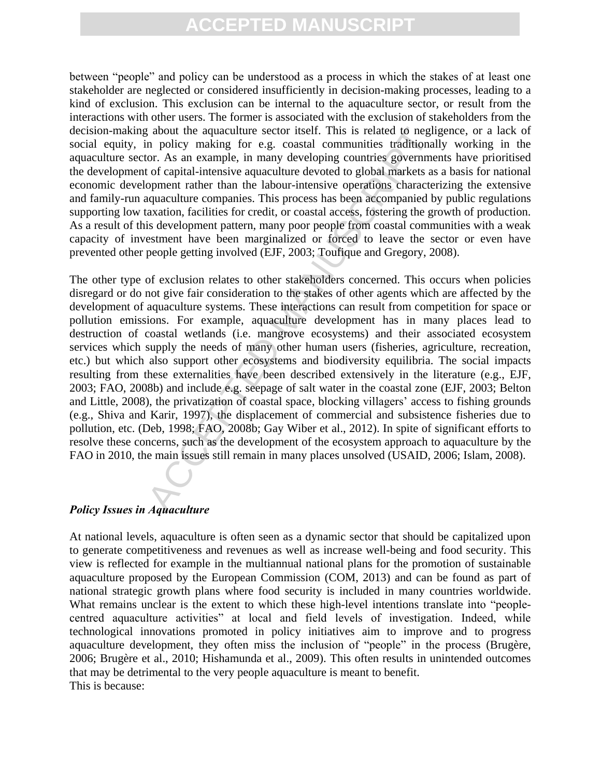between "people" and policy can be understood as a process in which the stakes of at least one stakeholder are neglected or considered insufficiently in decision-making processes, leading to a kind of exclusion. This exclusion can be internal to the aquaculture sector, or result from the interactions with other users. The former is associated with the exclusion of stakeholders from the decision-making about the aquaculture sector itself. This is related to negligence, or a lack of social equity, in policy making for e.g. coastal communities traditionally working in the aquaculture sector. As an example, in many developing countries governments have prioritised the development of capital-intensive aquaculture devoted to global markets as a basis for national economic development rather than the labour-intensive operations characterizing the extensive and family-run aquaculture companies. This process has been accompanied by public regulations supporting low taxation, facilities for credit, or coastal access, fostering the growth of production. As a result of this development pattern, many poor people from coastal communities with a weak capacity of investment have been marginalized or forced to leave the sector or even have prevented other people getting involved (EJF, 2003; Toufique and Gregory, 2008).

and point the aquaculture sector itself. This is related to negliated propertional prolety making for e.g. coastal communities traditional<br>or. As an example, in many developing countries government of capital-intensive aqu The other type of exclusion relates to other stakeholders concerned. This occurs when policies disregard or do not give fair consideration to the stakes of other agents which are affected by the development of aquaculture systems. These interactions can result from competition for space or pollution emissions. For example, aquaculture development has in many places lead to destruction of coastal wetlands (i.e. mangrove ecosystems) and their associated ecosystem services which supply the needs of many other human users (fisheries, agriculture, recreation, etc.) but which also support other ecosystems and biodiversity equilibria. The social impacts resulting from these externalities have been described extensively in the literature (e.g., EJF, 2003; FAO, 2008b) and include e.g. seepage of salt water in the coastal zone (EJF, 2003; Belton and Little, 2008), the privatization of coastal space, blocking villagers' access to fishing grounds (e.g., Shiva and Karir, 1997), the displacement of commercial and subsistence fisheries due to pollution, etc. (Deb, 1998; FAO, 2008b; Gay Wiber et al., 2012). In spite of significant efforts to resolve these concerns, such as the development of the ecosystem approach to aquaculture by the FAO in 2010, the main issues still remain in many places unsolved (USAID, 2006; Islam, 2008).

#### *Policy Issues in Aquaculture*

At national levels, aquaculture is often seen as a dynamic sector that should be capitalized upon to generate competitiveness and revenues as well as increase well-being and food security. This view is reflected for example in the multiannual national plans for the promotion of sustainable aquaculture proposed by the European Commission (COM, 2013) and can be found as part of national strategic growth plans where food security is included in many countries worldwide. What remains unclear is the extent to which these high-level intentions translate into "peoplecentred aquaculture activities" at local and field levels of investigation. Indeed, while technological innovations promoted in policy initiatives aim to improve and to progress aquaculture development, they often miss the inclusion of "people" in the process (Brugère, 2006; Brugère et al., 2010; Hishamunda et al., 2009). This often results in unintended outcomes that may be detrimental to the very people aquaculture is meant to benefit. This is because: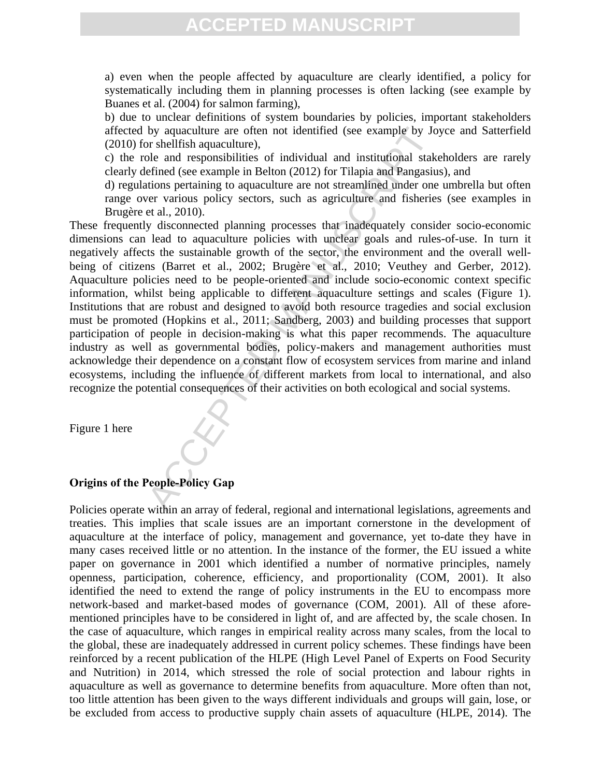a) even when the people affected by aquaculture are clearly identified, a policy for systematically including them in planning processes is often lacking (see example by Buanes et al. (2004) for salmon farming),

b) due to unclear definitions of system boundaries by policies, important stakeholders affected by aquaculture are often not identified (see example by Joyce and Satterfield (2010) for shellfish aquaculture),

c) the role and responsibilities of individual and institutional stakeholders are rarely clearly defined (see example in Belton (2012) for Tilapia and Pangasius), and

d) regulations pertaining to aquaculture are not streamlined under one umbrella but often range over various policy sectors, such as agriculture and fisheries (see examples in Brugère et al., 2010).

by aquaculture are often not identified (see example by Jo<br>
or shellfish aquaculture),<br>
or shellfish aquaculture, of individual and institutional stake<br>
efined (see example in Belton (2012) for Tilapia and Pangasiu<br>
tions These frequently disconnected planning processes that inadequately consider socio-economic dimensions can lead to aquaculture policies with unclear goals and rules-of-use. In turn it negatively affects the sustainable growth of the sector, the environment and the overall wellbeing of citizens (Barret et al., 2002; Brugère et al., 2010; Veuthey and Gerber, 2012). Aquaculture policies need to be people-oriented and include socio-economic context specific information, whilst being applicable to different aquaculture settings and scales (Figure 1). Institutions that are robust and designed to avoid both resource tragedies and social exclusion must be promoted (Hopkins et al., 2011; Sandberg, 2003) and building processes that support participation of people in decision-making is what this paper recommends. The aquaculture industry as well as governmental bodies, policy-makers and management authorities must acknowledge their dependence on a constant flow of ecosystem services from marine and inland ecosystems, including the influence of different markets from local to international, and also recognize the potential consequences of their activities on both ecological and social systems.

Figure 1 here

#### **Origins of the People-Policy Gap**

Policies operate within an array of federal, regional and international legislations, agreements and treaties. This implies that scale issues are an important cornerstone in the development of aquaculture at the interface of policy, management and governance, yet to-date they have in many cases received little or no attention. In the instance of the former, the EU issued a white paper on governance in 2001 which identified a number of normative principles, namely openness, participation, coherence, efficiency, and proportionality (COM, 2001). It also identified the need to extend the range of policy instruments in the EU to encompass more network-based and market-based modes of governance (COM, 2001). All of these aforementioned principles have to be considered in light of, and are affected by, the scale chosen. In the case of aquaculture, which ranges in empirical reality across many scales, from the local to the global, these are inadequately addressed in current policy schemes. These findings have been reinforced by a recent publication of the HLPE (High Level Panel of Experts on Food Security and Nutrition) in 2014, which stressed the role of social protection and labour rights in aquaculture as well as governance to determine benefits from aquaculture. More often than not, too little attention has been given to the ways different individuals and groups will gain, lose, or be excluded from access to productive supply chain assets of aquaculture (HLPE, 2014). The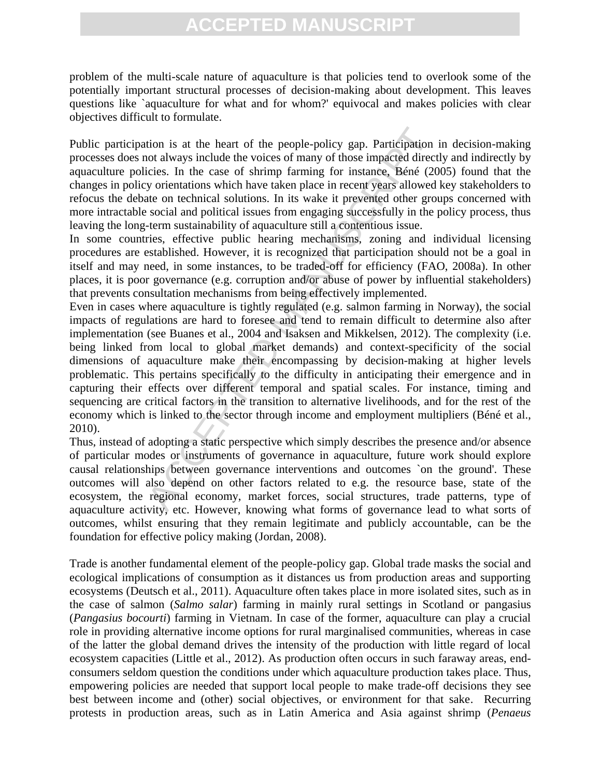problem of the multi-scale nature of aquaculture is that policies tend to overlook some of the potentially important structural processes of decision-making about development. This leaves questions like `aquaculture for what and for whom?' equivocal and makes policies with clear objectives difficult to formulate.

Public participation is at the heart of the people-policy gap. Participation in decision-making processes does not always include the voices of many of those impacted directly and indirectly by aquaculture policies. In the case of shrimp farming for instance, Béné (2005) found that the changes in policy orientations which have taken place in recent years allowed key stakeholders to refocus the debate on technical solutions. In its wake it prevented other groups concerned with more intractable social and political issues from engaging successfully in the policy process, thus leaving the long-term sustainability of aquaculture still a contentious issue.

In some countries, effective public hearing mechanisms, zoning and individual licensing procedures are established. However, it is recognized that participation should not be a goal in itself and may need, in some instances, to be traded-off for efficiency (FAO, 2008a). In other places, it is poor governance (e.g. corruption and/or abuse of power by influential stakeholders) that prevents consultation mechanisms from being effectively implemented.

tion is at the heart of the people-policy gap. Participation<br>tot always include the voices of many of those impacted direct<br>cices. In the case of shrimp farming for instance, Béné (20<br>y orientations which have taken place Even in cases where aquaculture is tightly regulated (e.g. salmon farming in Norway), the social impacts of regulations are hard to foresee and tend to remain difficult to determine also after implementation (see Buanes et al., 2004 and Isaksen and Mikkelsen, 2012). The complexity (i.e. being linked from local to global market demands) and context-specificity of the social dimensions of aquaculture make their encompassing by decision-making at higher levels problematic. This pertains specifically to the difficulty in anticipating their emergence and in capturing their effects over different temporal and spatial scales. For instance, timing and sequencing are critical factors in the transition to alternative livelihoods, and for the rest of the economy which is linked to the sector through income and employment multipliers (Béné et al., 2010).

Thus, instead of adopting a static perspective which simply describes the presence and/or absence of particular modes or instruments of governance in aquaculture, future work should explore causal relationships between governance interventions and outcomes `on the ground'. These outcomes will also depend on other factors related to e.g. the resource base, state of the ecosystem, the regional economy, market forces, social structures, trade patterns, type of aquaculture activity, etc. However, knowing what forms of governance lead to what sorts of outcomes, whilst ensuring that they remain legitimate and publicly accountable, can be the foundation for effective policy making (Jordan, 2008).

Trade is another fundamental element of the people-policy gap. Global trade masks the social and ecological implications of consumption as it distances us from production areas and supporting ecosystems (Deutsch et al., 2011). Aquaculture often takes place in more isolated sites, such as in the case of salmon (*Salmo salar*) farming in mainly rural settings in Scotland or pangasius (*Pangasius bocourti*) farming in Vietnam. In case of the former, aquaculture can play a crucial role in providing alternative income options for rural marginalised communities, whereas in case of the latter the global demand drives the intensity of the production with little regard of local ecosystem capacities (Little et al., 2012). As production often occurs in such faraway areas, endconsumers seldom question the conditions under which aquaculture production takes place. Thus, empowering policies are needed that support local people to make trade-off decisions they see best between income and (other) social objectives, or environment for that sake. Recurring protests in production areas, such as in Latin America and Asia against shrimp (*Penaeus*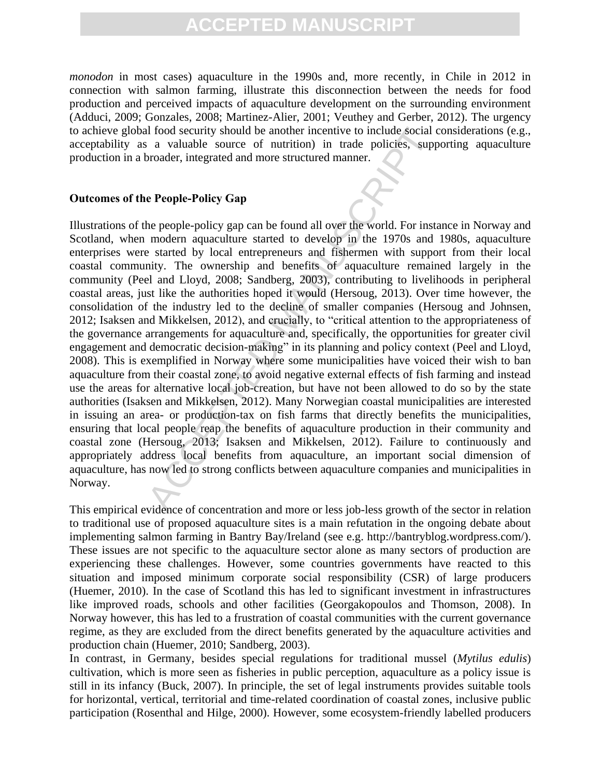*monodon* in most cases) aquaculture in the 1990s and, more recently, in Chile in 2012 in connection with salmon farming, illustrate this disconnection between the needs for food production and perceived impacts of aquaculture development on the surrounding environment (Adduci, 2009; Gonzales, 2008; Martinez-Alier, 2001; Veuthey and Gerber, 2012). The urgency to achieve global food security should be another incentive to include social considerations (e.g., acceptability as a valuable source of nutrition) in trade policies, supporting aquaculture production in a broader, integrated and more structured manner.

#### **Outcomes of the People-Policy Gap**

If food security should be another incentive to include social c<br>
is a valuable source of nutrition) in trade policies, supproader, integrated and more structured manner.<br> **e People-Policy Gap**<br> **e People-Policy Gap**<br> **e** Illustrations of the people-policy gap can be found all over the world. For instance in Norway and Scotland, when modern aquaculture started to develop in the 1970s and 1980s, aquaculture enterprises were started by local entrepreneurs and fishermen with support from their local coastal community. The ownership and benefits of aquaculture remained largely in the community (Peel and Lloyd, 2008; Sandberg, 2003), contributing to livelihoods in peripheral coastal areas, just like the authorities hoped it would (Hersoug, 2013). Over time however, the consolidation of the industry led to the decline of smaller companies (Hersoug and Johnsen, 2012; Isaksen and Mikkelsen, 2012), and crucially, to "critical attention to the appropriateness of the governance arrangements for aquaculture and, specifically, the opportunities for greater civil engagement and democratic decision-making" in its planning and policy context (Peel and Lloyd, 2008). This is exemplified in Norway where some municipalities have voiced their wish to ban aquaculture from their coastal zone, to avoid negative external effects of fish farming and instead use the areas for alternative local job-creation, but have not been allowed to do so by the state authorities (Isaksen and Mikkelsen, 2012). Many Norwegian coastal municipalities are interested in issuing an area- or production-tax on fish farms that directly benefits the municipalities, ensuring that local people reap the benefits of aquaculture production in their community and coastal zone (Hersoug, 2013; Isaksen and Mikkelsen, 2012). Failure to continuously and appropriately address local benefits from aquaculture, an important social dimension of aquaculture, has now led to strong conflicts between aquaculture companies and municipalities in Norway.

This empirical evidence of concentration and more or less job-less growth of the sector in relation to traditional use of proposed aquaculture sites is a main refutation in the ongoing debate about implementing salmon farming in Bantry Bay/Ireland (see e.g. http://bantryblog.wordpress.com/). These issues are not specific to the aquaculture sector alone as many sectors of production are experiencing these challenges. However, some countries governments have reacted to this situation and imposed minimum corporate social responsibility (CSR) of large producers (Huemer, 2010). In the case of Scotland this has led to significant investment in infrastructures like improved roads, schools and other facilities (Georgakopoulos and Thomson, 2008). In Norway however, this has led to a frustration of coastal communities with the current governance regime, as they are excluded from the direct benefits generated by the aquaculture activities and production chain (Huemer, 2010; Sandberg, 2003).

In contrast, in Germany, besides special regulations for traditional mussel (*Mytilus edulis*) cultivation, which is more seen as fisheries in public perception, aquaculture as a policy issue is still in its infancy (Buck, 2007). In principle, the set of legal instruments provides suitable tools for horizontal, vertical, territorial and time-related coordination of coastal zones, inclusive public participation (Rosenthal and Hilge, 2000). However, some ecosystem-friendly labelled producers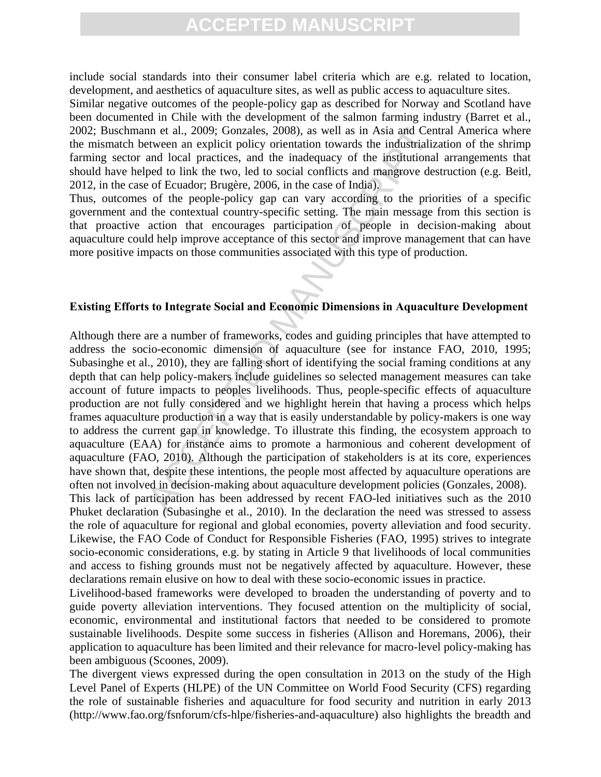include social standards into their consumer label criteria which are e.g. related to location, development, and aesthetics of aquaculture sites, as well as public access to aquaculture sites.

Similar negative outcomes of the people-policy gap as described for Norway and Scotland have been documented in Chile with the development of the salmon farming industry (Barret et al., 2002; Buschmann et al., 2009; Gonzales, 2008), as well as in Asia and Central America where the mismatch between an explicit policy orientation towards the industrialization of the shrimp farming sector and local practices, and the inadequacy of the institutional arrangements that should have helped to link the two, led to social conflicts and mangrove destruction (e.g. Beitl, 2012, in the case of Ecuador; Brugère, 2006, in the case of India).

Thus, outcomes of the people-policy gap can vary according to the priorities of a specific government and the contextual country-specific setting. The main message from this section is that proactive action that encourages participation of people in decision-making about aquaculture could help improve acceptance of this sector and improve management that can have more positive impacts on those communities associated with this type of production.

#### **Existing Efforts to Integrate Social and Economic Dimensions in Aquaculture Development**

In et al., 2009; Gonzales, 2008), as well as in Asia and Cent<br>tween an explicit policy orientation towards the industrialize<br>and local practices, and the indequacy of the institutional<br>ped to link the two, led to social c Although there are a number of frameworks, codes and guiding principles that have attempted to address the socio-economic dimension of aquaculture (see for instance FAO, 2010, 1995; Subasinghe et al., 2010), they are falling short of identifying the social framing conditions at any depth that can help policy-makers include guidelines so selected management measures can take account of future impacts to peoples livelihoods. Thus, people-specific effects of aquaculture production are not fully considered and we highlight herein that having a process which helps frames aquaculture production in a way that is easily understandable by policy-makers is one way to address the current gap in knowledge. To illustrate this finding, the ecosystem approach to aquaculture (EAA) for instance aims to promote a harmonious and coherent development of aquaculture (FAO, 2010). Although the participation of stakeholders is at its core, experiences have shown that, despite these intentions, the people most affected by aquaculture operations are often not involved in decision-making about aquaculture development policies (Gonzales, 2008).

This lack of participation has been addressed by recent FAO-led initiatives such as the 2010 Phuket declaration (Subasinghe et al., 2010). In the declaration the need was stressed to assess the role of aquaculture for regional and global economies, poverty alleviation and food security. Likewise, the FAO Code of Conduct for Responsible Fisheries (FAO, 1995) strives to integrate socio-economic considerations, e.g. by stating in Article 9 that livelihoods of local communities and access to fishing grounds must not be negatively affected by aquaculture. However, these declarations remain elusive on how to deal with these socio-economic issues in practice.

Livelihood-based frameworks were developed to broaden the understanding of poverty and to guide poverty alleviation interventions. They focused attention on the multiplicity of social, economic, environmental and institutional factors that needed to be considered to promote sustainable livelihoods. Despite some success in fisheries (Allison and Horemans, 2006), their application to aquaculture has been limited and their relevance for macro-level policy-making has been ambiguous (Scoones, 2009).

The divergent views expressed during the open consultation in 2013 on the study of the High Level Panel of Experts (HLPE) of the UN Committee on World Food Security (CFS) regarding the role of sustainable fisheries and aquaculture for food security and nutrition in early 2013 (http://www.fao.org/fsnforum/cfs-hlpe/fisheries-and-aquaculture) also highlights the breadth and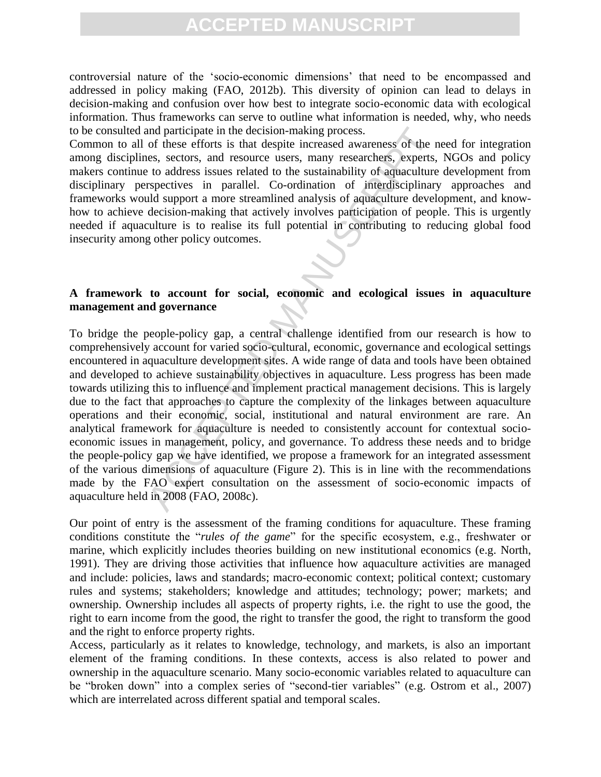controversial nature of the 'socio-economic dimensions' that need to be encompassed and addressed in policy making (FAO, 2012b). This diversity of opinion can lead to delays in decision-making and confusion over how best to integrate socio-economic data with ecological information. Thus frameworks can serve to outline what information is needed, why, who needs to be consulted and participate in the decision-making process.

Common to all of these efforts is that despite increased awareness of the need for integration among disciplines, sectors, and resource users, many researchers, experts, NGOs and policy makers continue to address issues related to the sustainability of aquaculture development from disciplinary perspectives in parallel. Co-ordination of interdisciplinary approaches and frameworks would support a more streamlined analysis of aquaculture development, and knowhow to achieve decision-making that actively involves participation of people. This is urgently needed if aquaculture is to realise its full potential in contributing to reducing global food insecurity among other policy outcomes.

#### **A framework to account for social, economic and ecological issues in aquaculture management and governance**

and participate in the decision-making process.<br>
of these efforts is that despite increased awareness of the ness, sectors, and resource users, many researchers, experts, et to address issues related to the sustainability To bridge the people-policy gap, a central challenge identified from our research is how to comprehensively account for varied socio-cultural, economic, governance and ecological settings encountered in aquaculture development sites. A wide range of data and tools have been obtained and developed to achieve sustainability objectives in aquaculture. Less progress has been made towards utilizing this to influence and implement practical management decisions. This is largely due to the fact that approaches to capture the complexity of the linkages between aquaculture operations and their economic, social, institutional and natural environment are rare. An analytical framework for aquaculture is needed to consistently account for contextual socioeconomic issues in management, policy, and governance. To address these needs and to bridge the people-policy gap we have identified, we propose a framework for an integrated assessment of the various dimensions of aquaculture (Figure 2). This is in line with the recommendations made by the FAO expert consultation on the assessment of socio-economic impacts of aquaculture held in 2008 (FAO, 2008c).

Our point of entry is the assessment of the framing conditions for aquaculture. These framing conditions constitute the "*rules of the game*" for the specific ecosystem, e.g., freshwater or marine, which explicitly includes theories building on new institutional economics (e.g. North, 1991). They are driving those activities that influence how aquaculture activities are managed and include: policies, laws and standards; macro-economic context; political context; customary rules and systems; stakeholders; knowledge and attitudes; technology; power; markets; and ownership. Ownership includes all aspects of property rights, i.e. the right to use the good, the right to earn income from the good, the right to transfer the good, the right to transform the good and the right to enforce property rights.

Access, particularly as it relates to knowledge, technology, and markets, is also an important element of the framing conditions. In these contexts, access is also related to power and ownership in the aquaculture scenario. Many socio-economic variables related to aquaculture can be "broken down" into a complex series of "second-tier variables" (e.g. Ostrom et al., 2007) which are interrelated across different spatial and temporal scales.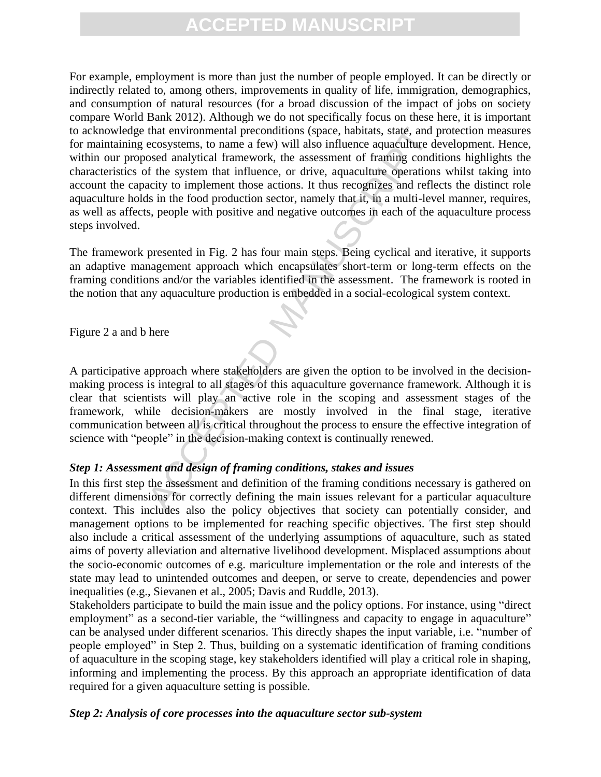that environmental preconditions (space, habitats, state, and procesystems, to name a few) will also influence aquaculture described for the system that influence, or drive, aquaculture operations acity to implement those For example, employment is more than just the number of people employed. It can be directly or indirectly related to, among others, improvements in quality of life, immigration, demographics, and consumption of natural resources (for a broad discussion of the impact of jobs on society compare World Bank 2012). Although we do not specifically focus on these here, it is important to acknowledge that environmental preconditions (space, habitats, state, and protection measures for maintaining ecosystems, to name a few) will also influence aquaculture development. Hence, within our proposed analytical framework, the assessment of framing conditions highlights the characteristics of the system that influence, or drive, aquaculture operations whilst taking into account the capacity to implement those actions. It thus recognizes and reflects the distinct role aquaculture holds in the food production sector, namely that it, in a multi-level manner, requires, as well as affects, people with positive and negative outcomes in each of the aquaculture process steps involved.

The framework presented in Fig. 2 has four main steps. Being cyclical and iterative, it supports an adaptive management approach which encapsulates short-term or long-term effects on the framing conditions and/or the variables identified in the assessment. The framework is rooted in the notion that any aquaculture production is embedded in a social-ecological system context.

#### Figure 2 a and b here

A participative approach where stakeholders are given the option to be involved in the decisionmaking process is integral to all stages of this aquaculture governance framework. Although it is clear that scientists will play an active role in the scoping and assessment stages of the framework, while decision-makers are mostly involved in the final stage, iterative communication between all is critical throughout the process to ensure the effective integration of science with "people" in the decision-making context is continually renewed.

#### *Step 1: Assessment and design of framing conditions, stakes and issues*

In this first step the assessment and definition of the framing conditions necessary is gathered on different dimensions for correctly defining the main issues relevant for a particular aquaculture context. This includes also the policy objectives that society can potentially consider, and management options to be implemented for reaching specific objectives. The first step should also include a critical assessment of the underlying assumptions of aquaculture, such as stated aims of poverty alleviation and alternative livelihood development. Misplaced assumptions about the socio-economic outcomes of e.g. mariculture implementation or the role and interests of the state may lead to unintended outcomes and deepen, or serve to create, dependencies and power inequalities (e.g., Sievanen et al., 2005; Davis and Ruddle, 2013).

Stakeholders participate to build the main issue and the policy options. For instance, using "direct employment" as a second-tier variable, the "willingness and capacity to engage in aquaculture" can be analysed under different scenarios. This directly shapes the input variable, i.e. "number of people employed" in Step 2. Thus, building on a systematic identification of framing conditions of aquaculture in the scoping stage, key stakeholders identified will play a critical role in shaping, informing and implementing the process. By this approach an appropriate identification of data required for a given aquaculture setting is possible.

#### *Step 2: Analysis of core processes into the aquaculture sector sub-system*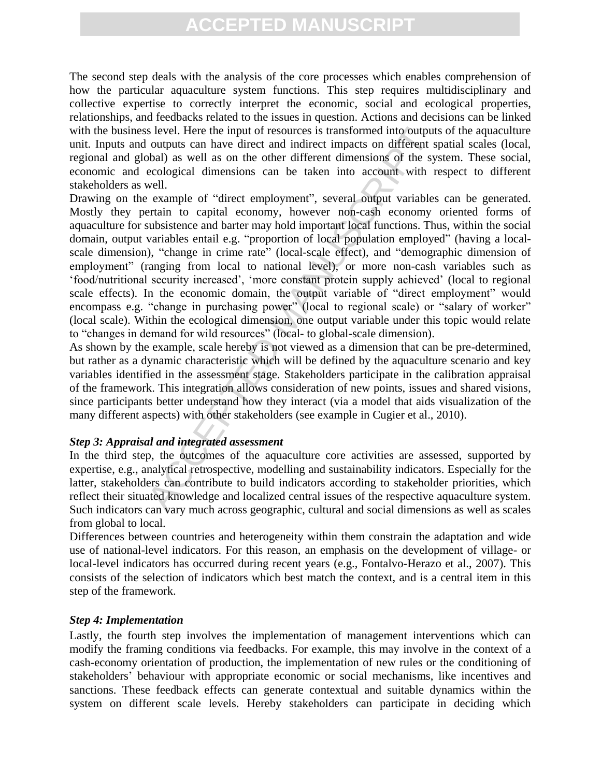The second step deals with the analysis of the core processes which enables comprehension of how the particular aquaculture system functions. This step requires multidisciplinary and collective expertise to correctly interpret the economic, social and ecological properties, relationships, and feedbacks related to the issues in question. Actions and decisions can be linked with the business level. Here the input of resources is transformed into outputs of the aquaculture unit. Inputs and outputs can have direct and indirect impacts on different spatial scales (local, regional and global) as well as on the other different dimensions of the system. These social, economic and ecological dimensions can be taken into account with respect to different stakeholders as well.

s level. Here the input of resources is transformed into outputs<br>outputs can have direct and indirect impacts on different sinces<br>bad) as well as on the other different dimensions of the syecological dimensions can be take Drawing on the example of "direct employment", several output variables can be generated. Mostly they pertain to capital economy, however non-cash economy oriented forms of aquaculture for subsistence and barter may hold important local functions. Thus, within the social domain, output variables entail e.g. "proportion of local population employed" (having a localscale dimension), "change in crime rate" (local-scale effect), and "demographic dimension of employment" (ranging from local to national level), or more non-cash variables such as ‗food/nutritional security increased', ‗more constant protein supply achieved' (local to regional scale effects). In the economic domain, the output variable of "direct employment" would encompass e.g. "change in purchasing power" (local to regional scale) or "salary of worker" (local scale). Within the ecological dimension, one output variable under this topic would relate to "changes in demand for wild resources" (local- to global-scale dimension).

As shown by the example, scale hereby is not viewed as a dimension that can be pre-determined, but rather as a dynamic characteristic which will be defined by the aquaculture scenario and key variables identified in the assessment stage. Stakeholders participate in the calibration appraisal of the framework. This integration allows consideration of new points, issues and shared visions, since participants better understand how they interact (via a model that aids visualization of the many different aspects) with other stakeholders (see example in Cugier et al., 2010).

#### *Step 3: Appraisal and integrated assessment*

In the third step, the outcomes of the aquaculture core activities are assessed, supported by expertise, e.g., analytical retrospective, modelling and sustainability indicators. Especially for the latter, stakeholders can contribute to build indicators according to stakeholder priorities, which reflect their situated knowledge and localized central issues of the respective aquaculture system. Such indicators can vary much across geographic, cultural and social dimensions as well as scales from global to local.

Differences between countries and heterogeneity within them constrain the adaptation and wide use of national-level indicators. For this reason, an emphasis on the development of village- or local-level indicators has occurred during recent years (e.g., Fontalvo-Herazo et al., 2007). This consists of the selection of indicators which best match the context, and is a central item in this step of the framework.

#### *Step 4: Implementation*

Lastly, the fourth step involves the implementation of management interventions which can modify the framing conditions via feedbacks. For example, this may involve in the context of a cash-economy orientation of production, the implementation of new rules or the conditioning of stakeholders' behaviour with appropriate economic or social mechanisms, like incentives and sanctions. These feedback effects can generate contextual and suitable dynamics within the system on different scale levels. Hereby stakeholders can participate in deciding which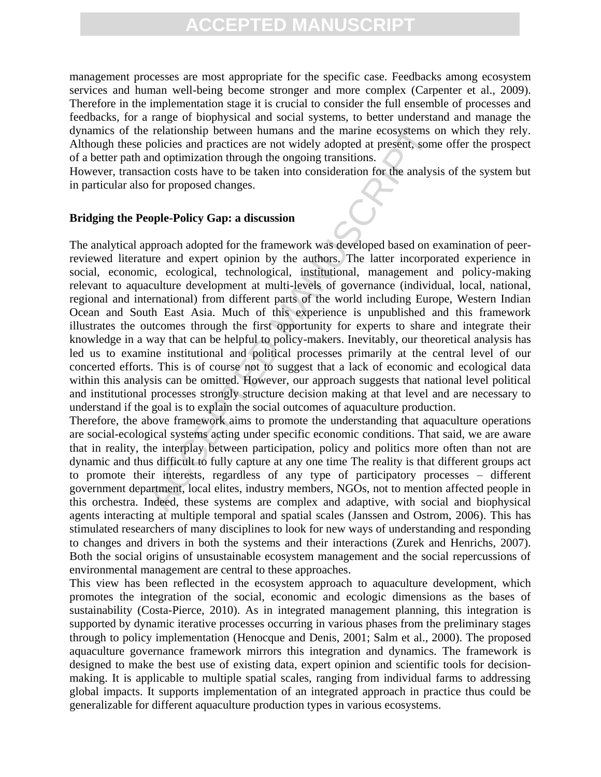management processes are most appropriate for the specific case. Feedbacks among ecosystem services and human well-being become stronger and more complex (Carpenter et al., 2009). Therefore in the implementation stage it is crucial to consider the full ensemble of processes and feedbacks, for a range of biophysical and social systems, to better understand and manage the dynamics of the relationship between humans and the marine ecosystems on which they rely. Although these policies and practices are not widely adopted at present, some offer the prospect of a better path and optimization through the ongoing transitions.

However, transaction costs have to be taken into consideration for the analysis of the system but in particular also for proposed changes.

#### **Bridging the People-Policy Gap: a discussion**

relationship between humans and the marine ecosystems on charge is and practices are not widely adopted at present, some and optimization through the magoing transitions.<br>
Exponsion costs have to be taken into consideratio The analytical approach adopted for the framework was developed based on examination of peerreviewed literature and expert opinion by the authors. The latter incorporated experience in social, economic, ecological, technological, institutional, management and policy-making relevant to aquaculture development at multi-levels of governance (individual, local, national, regional and international) from different parts of the world including Europe, Western Indian Ocean and South East Asia. Much of this experience is unpublished and this framework illustrates the outcomes through the first opportunity for experts to share and integrate their knowledge in a way that can be helpful to policy-makers. Inevitably, our theoretical analysis has led us to examine institutional and political processes primarily at the central level of our concerted efforts. This is of course not to suggest that a lack of economic and ecological data within this analysis can be omitted. However, our approach suggests that national level political and institutional processes strongly structure decision making at that level and are necessary to understand if the goal is to explain the social outcomes of aquaculture production.

Therefore, the above framework aims to promote the understanding that aquaculture operations are social-ecological systems acting under specific economic conditions. That said, we are aware that in reality, the interplay between participation, policy and politics more often than not are dynamic and thus difficult to fully capture at any one time The reality is that different groups act to promote their interests, regardless of any type of participatory processes – different government department, local elites, industry members, NGOs, not to mention affected people in this orchestra. Indeed, these systems are complex and adaptive, with social and biophysical agents interacting at multiple temporal and spatial scales (Janssen and Ostrom, 2006). This has stimulated researchers of many disciplines to look for new ways of understanding and responding to changes and drivers in both the systems and their interactions (Zurek and Henrichs, 2007). Both the social origins of unsustainable ecosystem management and the social repercussions of environmental management are central to these approaches.

This view has been reflected in the ecosystem approach to aquaculture development, which promotes the integration of the social, economic and ecologic dimensions as the bases of sustainability (Costa-Pierce, 2010). As in integrated management planning, this integration is supported by dynamic iterative processes occurring in various phases from the preliminary stages through to policy implementation (Henocque and Denis, 2001; Salm et al., 2000). The proposed aquaculture governance framework mirrors this integration and dynamics. The framework is designed to make the best use of existing data, expert opinion and scientific tools for decisionmaking. It is applicable to multiple spatial scales, ranging from individual farms to addressing global impacts. It supports implementation of an integrated approach in practice thus could be generalizable for different aquaculture production types in various ecosystems.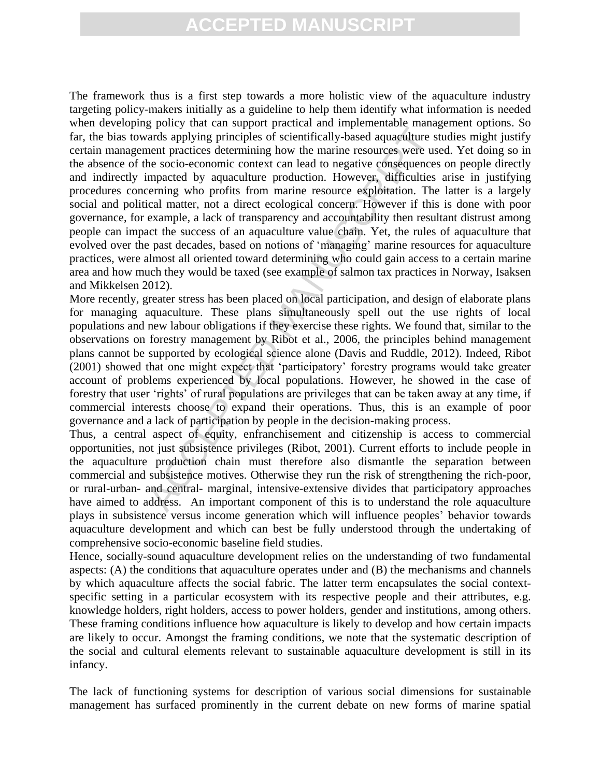growing unitarial memberican manupulations. These and consequent practices determining how the marine resources were use the socio-economic context can lead to negative consequence summacted by aquaculture production. Howe The framework thus is a first step towards a more holistic view of the aquaculture industry targeting policy-makers initially as a guideline to help them identify what information is needed when developing policy that can support practical and implementable management options. So far, the bias towards applying principles of scientifically-based aquaculture studies might justify certain management practices determining how the marine resources were used. Yet doing so in the absence of the socio-economic context can lead to negative consequences on people directly and indirectly impacted by aquaculture production. However, difficulties arise in justifying procedures concerning who profits from marine resource exploitation. The latter is a largely social and political matter, not a direct ecological concern. However if this is done with poor governance, for example, a lack of transparency and accountability then resultant distrust among people can impact the success of an aquaculture value chain. Yet, the rules of aquaculture that evolved over the past decades, based on notions of 'managing' marine resources for aquaculture practices, were almost all oriented toward determining who could gain access to a certain marine area and how much they would be taxed (see example of salmon tax practices in Norway, Isaksen and Mikkelsen 2012).

More recently, greater stress has been placed on local participation, and design of elaborate plans for managing aquaculture. These plans simultaneously spell out the use rights of local populations and new labour obligations if they exercise these rights. We found that, similar to the observations on forestry management by Ribot et al., 2006, the principles behind management plans cannot be supported by ecological science alone (Davis and Ruddle, 2012). Indeed, Ribot (2001) showed that one might expect that 'participatory' forestry programs would take greater account of problems experienced by local populations. However, he showed in the case of forestry that user 'rights' of rural populations are privileges that can be taken away at any time, if commercial interests choose to expand their operations. Thus, this is an example of poor governance and a lack of participation by people in the decision-making process.

Thus, a central aspect of equity, enfranchisement and citizenship is access to commercial opportunities, not just subsistence privileges (Ribot, 2001). Current efforts to include people in the aquaculture production chain must therefore also dismantle the separation between commercial and subsistence motives. Otherwise they run the risk of strengthening the rich-poor, or rural-urban- and central- marginal, intensive-extensive divides that participatory approaches have aimed to address. An important component of this is to understand the role aquaculture plays in subsistence versus income generation which will influence peoples' behavior towards aquaculture development and which can best be fully understood through the undertaking of comprehensive socio-economic baseline field studies.

Hence, socially-sound aquaculture development relies on the understanding of two fundamental aspects: (A) the conditions that aquaculture operates under and (B) the mechanisms and channels by which aquaculture affects the social fabric. The latter term encapsulates the social contextspecific setting in a particular ecosystem with its respective people and their attributes, e.g. knowledge holders, right holders, access to power holders, gender and institutions, among others. These framing conditions influence how aquaculture is likely to develop and how certain impacts are likely to occur. Amongst the framing conditions, we note that the systematic description of the social and cultural elements relevant to sustainable aquaculture development is still in its infancy.

The lack of functioning systems for description of various social dimensions for sustainable management has surfaced prominently in the current debate on new forms of marine spatial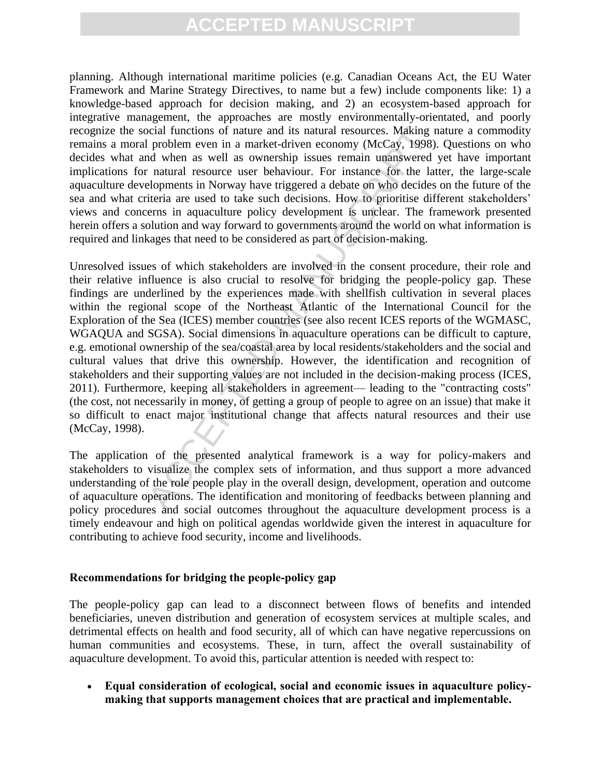planning. Although international maritime policies (e.g. Canadian Oceans Act, the EU Water Framework and Marine Strategy Directives, to name but a few) include components like: 1) a knowledge-based approach for decision making, and 2) an ecosystem-based approach for integrative management, the approaches are mostly environmentally-orientated, and poorly recognize the social functions of nature and its natural resources. Making nature a commodity remains a moral problem even in a market-driven economy (McCay, 1998). Questions on who decides what and when as well as ownership issues remain unanswered yet have important implications for natural resource user behaviour. For instance for the latter, the large-scale aquaculture developments in Norway have triggered a debate on who decides on the future of the sea and what criteria are used to take such decisions. How to prioritise different stakeholders' views and concerns in aquaculture policy development is unclear. The framework presented herein offers a solution and way forward to governments around the world on what information is required and linkages that need to be considered as part of decision-making.

ocial functions of nature and its natural resources. Making n problem even in a market-driven economy (MCCay, 1998).<br>I not when as well as ownership issues remain unanswered  $\gamma$  and when as well as ownership issues remain Unresolved issues of which stakeholders are involved in the consent procedure, their role and their relative influence is also crucial to resolve for bridging the people-policy gap. These findings are underlined by the experiences made with shellfish cultivation in several places within the regional scope of the Northeast Atlantic of the International Council for the Exploration of the Sea (ICES) member countries (see also recent ICES reports of the WGMASC, WGAQUA and SGSA). Social dimensions in aquaculture operations can be difficult to capture, e.g. emotional ownership of the sea/coastal area by local residents/stakeholders and the social and cultural values that drive this ownership. However, the identification and recognition of stakeholders and their supporting values are not included in the decision-making process (ICES, 2011). Furthermore, keeping all stakeholders in agreement— leading to the "contracting costs" (the cost, not necessarily in money, of getting a group of people to agree on an issue) that make it so difficult to enact major institutional change that affects natural resources and their use (McCay, 1998).

The application of the presented analytical framework is a way for policy-makers and stakeholders to visualize the complex sets of information, and thus support a more advanced understanding of the role people play in the overall design, development, operation and outcome of aquaculture operations. The identification and monitoring of feedbacks between planning and policy procedures and social outcomes throughout the aquaculture development process is a timely endeavour and high on political agendas worldwide given the interest in aquaculture for contributing to achieve food security, income and livelihoods.

#### **Recommendations for bridging the people-policy gap**

The people-policy gap can lead to a disconnect between flows of benefits and intended beneficiaries, uneven distribution and generation of ecosystem services at multiple scales, and detrimental effects on health and food security, all of which can have negative repercussions on human communities and ecosystems. These, in turn, affect the overall sustainability of aquaculture development. To avoid this, particular attention is needed with respect to:

 **Equal consideration of ecological, social and economic issues in aquaculture policymaking that supports management choices that are practical and implementable.**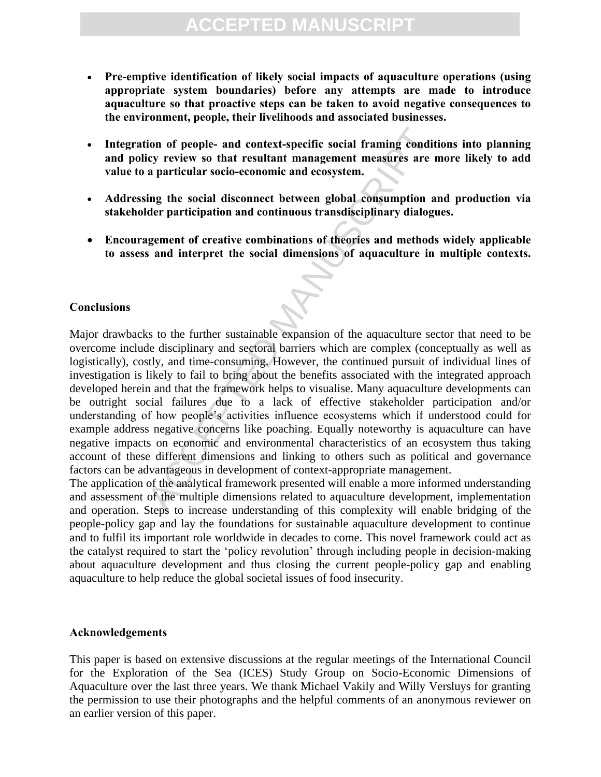- **Pre-emptive identification of likely social impacts of aquaculture operations (using appropriate system boundaries) before any attempts are made to introduce aquaculture so that proactive steps can be taken to avoid negative consequences to the environment, people, their livelihoods and associated businesses.**
- **Integration of people- and context-specific social framing conditions into planning and policy review so that resultant management measures are more likely to add value to a particular socio-economic and ecosystem.**
- **Addressing the social disconnect between global consumption and production via stakeholder participation and continuous transdisciplinary dialogues.**
- **Encouragement of creative combinations of theories and methods widely applicable to assess and interpret the social dimensions of aquaculture in multiple contexts.**

#### **Conclusions**

ion of people- and context-specific social framing conditive review so that resultant management measures are n<br>a particular socio-economic and ecosystem.<br>Ing the social disconnect between global consumption and<br>der partic Major drawbacks to the further sustainable expansion of the aquaculture sector that need to be overcome include disciplinary and sectoral barriers which are complex (conceptually as well as logistically), costly, and time-consuming. However, the continued pursuit of individual lines of investigation is likely to fail to bring about the benefits associated with the integrated approach developed herein and that the framework helps to visualise. Many aquaculture developments can be outright social failures due to a lack of effective stakeholder participation and/or understanding of how people's activities influence ecosystems which if understood could for example address negative concerns like poaching. Equally noteworthy is aquaculture can have negative impacts on economic and environmental characteristics of an ecosystem thus taking account of these different dimensions and linking to others such as political and governance factors can be advantageous in development of context-appropriate management.

The application of the analytical framework presented will enable a more informed understanding and assessment of the multiple dimensions related to aquaculture development, implementation and operation. Steps to increase understanding of this complexity will enable bridging of the people-policy gap and lay the foundations for sustainable aquaculture development to continue and to fulfil its important role worldwide in decades to come. This novel framework could act as the catalyst required to start the 'policy revolution' through including people in decision-making about aquaculture development and thus closing the current people-policy gap and enabling aquaculture to help reduce the global societal issues of food insecurity.

#### **Acknowledgements**

This paper is based on extensive discussions at the regular meetings of the International Council for the Exploration of the Sea (ICES) Study Group on Socio-Economic Dimensions of Aquaculture over the last three years. We thank Michael Vakily and Willy Versluys for granting the permission to use their photographs and the helpful comments of an anonymous reviewer on an earlier version of this paper.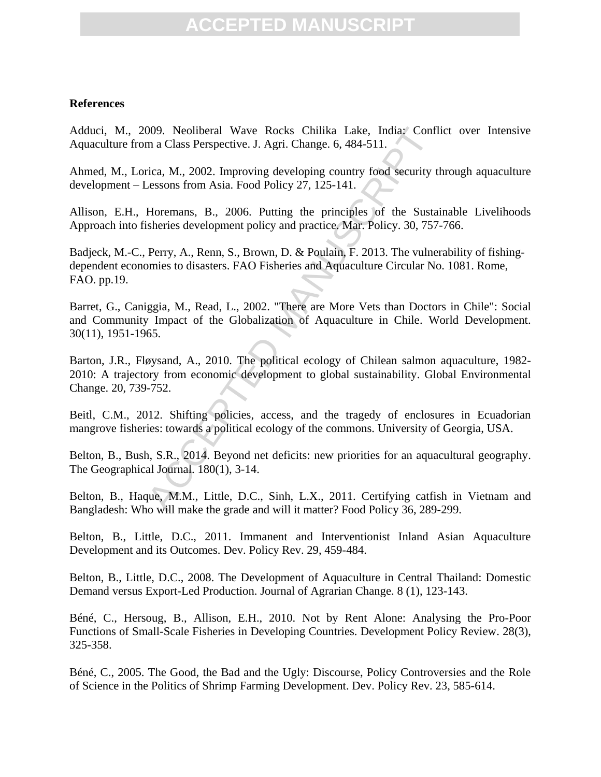#### **References**

Adduci, M., 2009. Neoliberal Wave Rocks Chilika Lake, India: Conflict over Intensive Aquaculture from a Class Perspective. J. Agri. Change. 6, 484-511.

Ahmed, M., Lorica, M., 2002. Improving developing country food security through aquaculture development – Lessons from Asia. Food Policy 27, 125-141.

Allison, E.H., Horemans, B., 2006. Putting the principles of the Sustainable Livelihoods Approach into fisheries development policy and practice. Mar. Policy. 30, 757-766.

Badjeck, M.-C., Perry, A., Renn, S., Brown, D. & Poulain, F. 2013. The vulnerability of fishingdependent economies to disasters. FAO Fisheries and Aquaculture Circular No. 1081. Rome, FAO. pp.19.

009. Neoliberal Wave Rocks Chilika Lake, India: Confl<br>
m a Class Perspective. J. Agri. Change. 6, 484-511.<br>
rica, M., 2002. Improving developing country food security t<br>
ressons from Asia. Food Policy 27, 125-141.<br>
Horeman Barret, G., Caniggia, M., Read, L., 2002. "There are More Vets than Doctors in Chile": Social and Community Impact of the Globalization of Aquaculture in Chile. World Development. 30(11), 1951-1965.

Barton, J.R., Fløysand, A., 2010. The political ecology of Chilean salmon aquaculture, 1982- 2010: A trajectory from economic development to global sustainability. Global Environmental Change. 20, 739-752.

Beitl, C.M., 2012. Shifting policies, access, and the tragedy of enclosures in Ecuadorian mangrove fisheries: towards a political ecology of the commons. University of Georgia, USA.

Belton, B., Bush, S.R., 2014. Beyond net deficits: new priorities for an aquacultural geography. The Geographical Journal. 180(1), 3-14.

Belton, B., Haque, M.M., Little, D.C., Sinh, L.X., 2011. Certifying catfish in Vietnam and Bangladesh: Who will make the grade and will it matter? Food Policy 36, 289-299.

Belton, B., Little, D.C., 2011. Immanent and Interventionist Inland Asian Aquaculture Development and its Outcomes. Dev. Policy Rev. 29, 459-484.

Belton, B., Little, D.C., 2008. The Development of Aquaculture in Central Thailand: Domestic Demand versus Export-Led Production. Journal of Agrarian Change. 8 (1), 123-143.

Béné, C., Hersoug, B., Allison, E.H., 2010. Not by Rent Alone: Analysing the Pro-Poor Functions of Small-Scale Fisheries in Developing Countries. Development Policy Review. 28(3), 325-358.

Béné, C., 2005. The Good, the Bad and the Ugly: Discourse, Policy Controversies and the Role of Science in the Politics of Shrimp Farming Development. Dev. Policy Rev. 23, 585-614.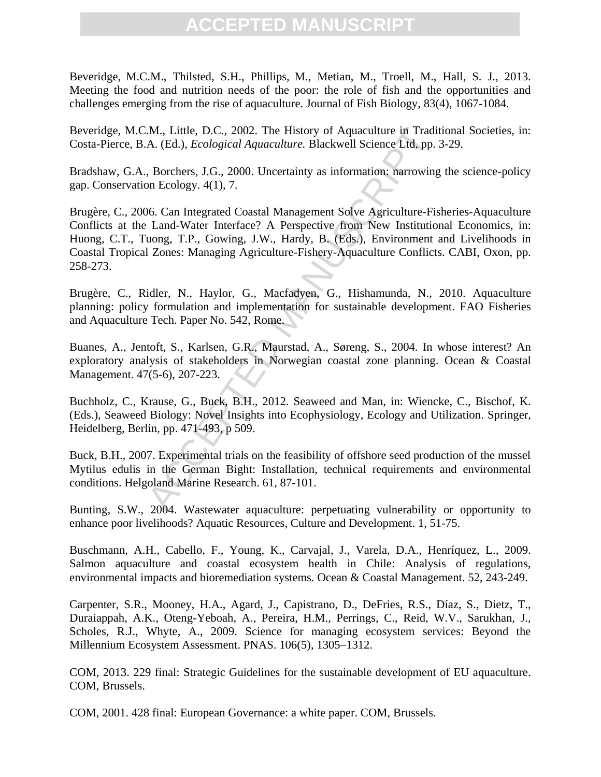Beveridge, M.C.M., Thilsted, S.H., Phillips, M., Metian, M., Troell, M., Hall, S. J., 2013. Meeting the food and nutrition needs of the poor: the role of fish and the opportunities and challenges emerging from the rise of aquaculture. Journal of Fish Biology, 83(4), 1067-1084.

Beveridge, M.C.M., Little, D.C., 2002. The History of Aquaculture in Traditional Societies, in: Costa-Pierce, B.A. (Ed.), *Ecological Aquaculture.* Blackwell Science Ltd, pp. 3-29.

Bradshaw, G.A., Borchers, J.G., 2000. Uncertainty as information: narrowing the science-policy gap. Conservation Ecology. 4(1), 7.

M., Little, D.C., 2002. The History of Aquaculture in Tradicular, A. (Ed.), *Ecological Aquaculture*. Blackwell Science Ltd, pp.<br>
1. Borchers, J.G., 2000. Uncertainty as information: narrowing<br>
in Ecology. 4(1), 7.<br>
1.6. C Brugère, C., 2006. Can Integrated Coastal Management Solve Agriculture-Fisheries-Aquaculture Conflicts at the Land-Water Interface? A Perspective from New Institutional Economics, in: Huong, C.T., Tuong, T.P., Gowing, J.W., Hardy, B. (Eds.), Environment and Livelihoods in Coastal Tropical Zones: Managing Agriculture-Fishery-Aquaculture Conflicts. CABI, Oxon, pp. 258-273.

Brugère, C., Ridler, N., Haylor, G., Macfadyen, G., Hishamunda, N., 2010. Aquaculture planning: policy formulation and implementation for sustainable development. FAO Fisheries and Aquaculture Tech. Paper No. 542, Rome.

Buanes, A., Jentoft, S., Karlsen, G.R., Maurstad, A., Søreng, S., 2004. In whose interest? An exploratory analysis of stakeholders in Norwegian coastal zone planning. Ocean & Coastal Management. 47(5-6), 207-223.

Buchholz, C., Krause, G., Buck, B.H., 2012. Seaweed and Man, in: Wiencke, C., Bischof, K. (Eds.), Seaweed Biology: Novel Insights into Ecophysiology, Ecology and Utilization. Springer, Heidelberg, Berlin, pp. 471-493, p 509.

Buck, B.H., 2007. Experimental trials on the feasibility of offshore seed production of the mussel Mytilus edulis in the German Bight: Installation, technical requirements and environmental conditions. Helgoland Marine Research. 61, 87-101.

Bunting, S.W., 2004. Wastewater aquaculture: perpetuating vulnerability or opportunity to enhance poor livelihoods? Aquatic Resources, Culture and Development. 1, 51-75.

Buschmann, A.H., Cabello, F., Young, K., Carvajal, J., Varela, D.A., Henríquez, L., 2009. Salmon aquaculture and coastal ecosystem health in Chile: Analysis of regulations, environmental impacts and bioremediation systems. Ocean & Coastal Management. 52, 243-249.

Carpenter, S.R., Mooney, H.A., Agard, J., Capistrano, D., DeFries, R.S., Díaz, S., Dietz, T., Duraiappah, A.K., Oteng-Yeboah, A., Pereira, H.M., Perrings, C., Reid, W.V., Sarukhan, J., Scholes, R.J., Whyte, A., 2009. Science for managing ecosystem services: Beyond the Millennium Ecosystem Assessment. PNAS. 106(5), 1305–1312.

COM, 2013. 229 final: Strategic Guidelines for the sustainable development of EU aquaculture. COM, Brussels.

COM, 2001. 428 final: European Governance: a white paper. COM, Brussels.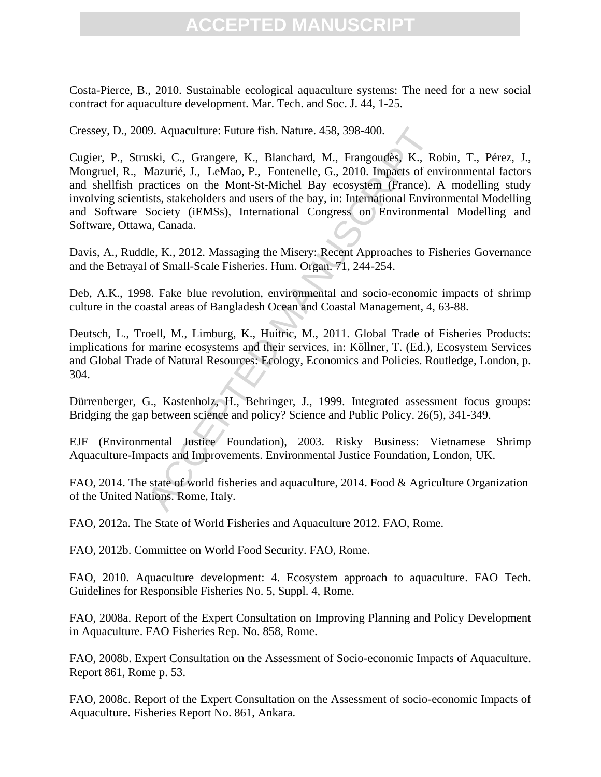Costa-Pierce, B., 2010. Sustainable ecological aquaculture systems: The need for a new social contract for aquaculture development. Mar. Tech. and Soc. J. 44, 1-25.

Cressey, D., 2009. Aquaculture: Future fish. Nature. 458, 398-400.

99. Aquaculture: Future fish. Nature. 458, 398-400.<br>
18ki, C., Grangere, K., Blanchard, M., Frangoudès, K., R.<br>
Mazurié, J., LeMao, P., Fontenelle, G., 2010. Impacts of en<br>
ractices on the Mont-St-Michel Bay ecosystem (Fra Cugier, P., Struski, C., Grangere, K., Blanchard, M., Frangoudès, K., Robin, T., Pérez, J., Mongruel, R., Mazurié, J., LeMao, P., Fontenelle, G., 2010. Impacts of environmental factors and shellfish practices on the Mont-St-Michel Bay ecosystem (France). A modelling study involving scientists, stakeholders and users of the bay, in: International Environmental Modelling and Software Society (iEMSs), International Congress on Environmental Modelling and Software, Ottawa, Canada.

Davis, A., Ruddle, K., 2012. Massaging the Misery: Recent Approaches to Fisheries Governance and the Betrayal of Small-Scale Fisheries. Hum. Organ. 71, 244-254.

Deb, A.K., 1998. Fake blue revolution, environmental and socio-economic impacts of shrimp culture in the coastal areas of Bangladesh Ocean and Coastal Management, 4, 63-88.

Deutsch, L., Troell, M., Limburg, K., Huitric, M., 2011. Global Trade of Fisheries Products: implications for marine ecosystems and their services, in: Köllner, T. (Ed.), Ecosystem Services and Global Trade of Natural Resources: Ecology, Economics and Policies. Routledge, London, p. 304.

Dürrenberger, G., Kastenholz, H., Behringer, J., 1999. Integrated assessment focus groups: Bridging the gap between science and policy? Science and Public Policy. 26(5), 341-349.

EJF (Environmental Justice Foundation), 2003. Risky Business: Vietnamese Shrimp Aquaculture-Impacts and Improvements. Environmental Justice Foundation, London, UK.

FAO, 2014. The state of world fisheries and aquaculture, 2014. Food & Agriculture Organization of the United Nations. Rome, Italy.

FAO, 2012a. The State of World Fisheries and Aquaculture 2012. FAO, Rome.

FAO, 2012b. Committee on World Food Security. FAO, Rome.

FAO, 2010. Aquaculture development: 4. Ecosystem approach to aquaculture. FAO Tech. Guidelines for Responsible Fisheries No. 5, Suppl. 4, Rome.

FAO, 2008a. Report of the Expert Consultation on Improving Planning and Policy Development in Aquaculture. FAO Fisheries Rep. No. 858, Rome.

FAO, 2008b. Expert Consultation on the Assessment of Socio-economic Impacts of Aquaculture. Report 861, Rome p. 53.

FAO, 2008c. Report of the Expert Consultation on the Assessment of socio-economic Impacts of Aquaculture. Fisheries Report No. 861, Ankara.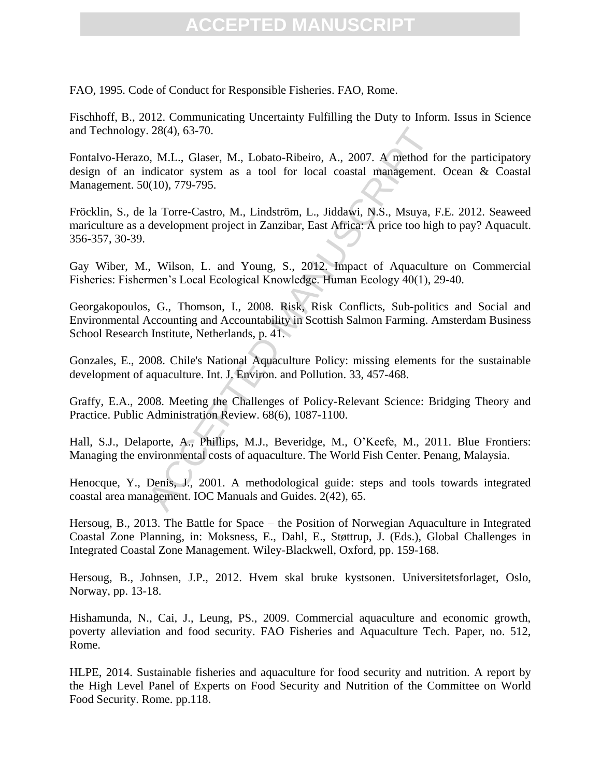FAO, 1995. Code of Conduct for Responsible Fisheries. FAO, Rome.

Fischhoff, B., 2012. Communicating Uncertainty Fulfilling the Duty to Inform. Issus in Science and Technology. 28(4), 63-70.

Fontalvo-Herazo, M.L., Glaser, M., Lobato-Ribeiro, A., 2007. A method for the participatory design of an indicator system as a tool for local coastal management. Ocean & Coastal Management. 50(10), 779-795.

2. 28(4), 63-70.<br>
2. 28(4), 63-70.<br>
2. M.L., Glaser, M., Lobato-Ribeiro, A., 2007. A method for<br>
Indicator system as a tool for local coastal management.<br>
1(10), 779-795.<br>
1a Torre-Castro, M., Lindström, L., Jiddawi, N.S., Fröcklin, S., de la Torre-Castro, M., Lindström, L., Jiddawi, N.S., Msuya, F.E. 2012. Seaweed mariculture as a development project in Zanzibar, East Africa: A price too high to pay? Aquacult. 356-357, 30-39.

Gay Wiber, M., Wilson, L. and Young, S., 2012. Impact of Aquaculture on Commercial Fisheries: Fishermen's Local Ecological Knowledge. Human Ecology 40(1), 29-40.

Georgakopoulos, G., Thomson, I., 2008. Risk, Risk Conflicts, Sub-politics and Social and Environmental Accounting and Accountability in Scottish Salmon Farming. Amsterdam Business School Research Institute, Netherlands, p. 41.

Gonzales, E., 2008. Chile's National Aquaculture Policy: missing elements for the sustainable development of aquaculture. Int. J. Environ. and Pollution. 33, 457-468.

Graffy, E.A., 2008. Meeting the Challenges of Policy-Relevant Science: Bridging Theory and Practice. Public Administration Review. 68(6), 1087-1100.

Hall, S.J., Delaporte, A., Phillips, M.J., Beveridge, M., O'Keefe, M., 2011. Blue Frontiers: Managing the environmental costs of aquaculture. The World Fish Center. Penang, Malaysia.

Henocque, Y., Denis, J., 2001. A methodological guide: steps and tools towards integrated coastal area management. IOC Manuals and Guides. 2(42), 65.

Hersoug, B., 2013. The Battle for Space – the Position of Norwegian Aquaculture in Integrated Coastal Zone Planning, in: Moksness, E., Dahl, E., Støttrup, J. (Eds.), Global Challenges in Integrated Coastal Zone Management. Wiley-Blackwell, Oxford, pp. 159-168.

Hersoug, B., Johnsen, J.P., 2012. Hvem skal bruke kystsonen. Universitetsforlaget, Oslo, Norway, pp. 13-18.

Hishamunda, N., Cai, J., Leung, PS., 2009. Commercial aquaculture and economic growth, poverty alleviation and food security. FAO Fisheries and Aquaculture Tech. Paper, no. 512, Rome.

HLPE, 2014. Sustainable fisheries and aquaculture for food security and nutrition. A report by the High Level Panel of Experts on Food Security and Nutrition of the Committee on World Food Security. Rome. pp.118.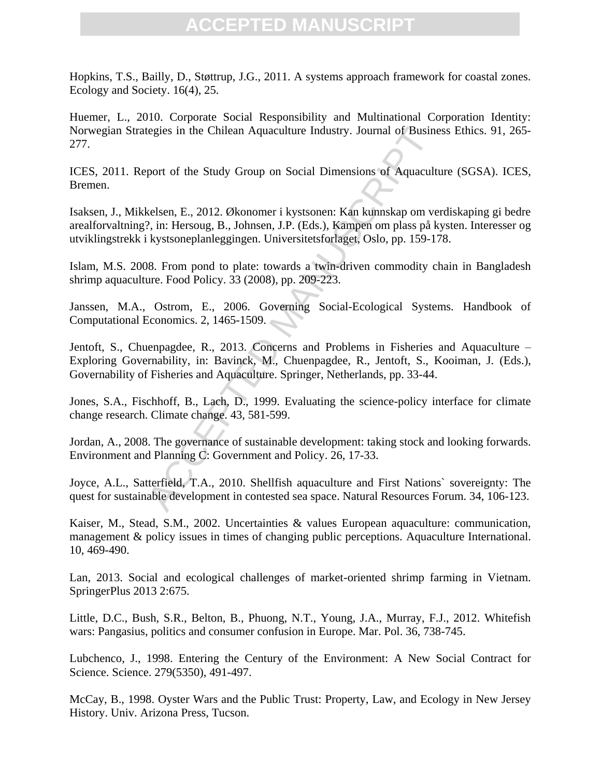Hopkins, T.S., Bailly, D., Støttrup, J.G., 2011. A systems approach framework for coastal zones. Ecology and Society. 16(4), 25.

Huemer, L., 2010. Corporate Social Responsibility and Multinational Corporation Identity: Norwegian Strategies in the Chilean Aquaculture Industry. Journal of Business Ethics. 91, 265- 277.

ICES, 2011. Report of the Study Group on Social Dimensions of Aquaculture (SGSA). ICES, Bremen.

Isaksen, J., Mikkelsen, E., 2012. Økonomer i kystsonen: Kan kunnskap om verdiskaping gi bedre arealforvaltning?, in: Hersoug, B., Johnsen, J.P. (Eds.), Kampen om plass på kysten. Interesser og utviklingstrekk i kystsoneplanleggingen. Universitetsforlaget, Oslo, pp. 159-178.

Islam, M.S. 2008. From pond to plate: towards a twin-driven commodity chain in Bangladesh shrimp aquaculture. Food Policy. 33 (2008), pp. 209-223.

Janssen, M.A., Ostrom, E., 2006. Governing Social-Ecological Systems. Handbook of Computational Economics. 2, 1465-1509.

tegies in the Chilean Aquaculture Industry. Journal of Busine<br>port of the Study Group on Social Dimensions of Aquaculti<br>port of the Study Group on Social Dimensions of Aquaculti<br>xelsen, E., 2012. Økonomer i kystsonen: Kan Jentoft, S., Chuenpagdee, R., 2013. Concerns and Problems in Fisheries and Aquaculture – Exploring Governability, in: Bavinck, M., Chuenpagdee, R., Jentoft, S., Kooiman, J. (Eds.), Governability of Fisheries and Aquaculture. Springer, Netherlands, pp. 33-44.

Jones, S.A., Fischhoff, B., Lach, D., 1999. Evaluating the science-policy interface for climate change research. Climate change. 43, 581-599.

Jordan, A., 2008. The governance of sustainable development: taking stock and looking forwards. Environment and Planning C: Government and Policy. 26, 17-33.

Joyce, A.L., Satterfield, T.A., 2010. Shellfish aquaculture and First Nations` sovereignty: The quest for sustainable development in contested sea space. Natural Resources Forum. 34, 106-123.

Kaiser, M., Stead, S.M., 2002. Uncertainties & values European aquaculture: communication, management & policy issues in times of changing public perceptions. Aquaculture International. 10, 469-490.

Lan, 2013. Social and ecological challenges of market-oriented shrimp farming in Vietnam. SpringerPlus 2013 2:675.

Little, D.C., Bush, S.R., Belton, B., Phuong, N.T., Young, J.A., Murray, F.J., 2012. Whitefish wars: Pangasius, politics and consumer confusion in Europe. Mar. Pol. 36, 738-745.

Lubchenco, J., 1998. Entering the Century of the Environment: A New Social Contract for Science. Science. 279(5350), 491-497.

McCay, B., 1998. Oyster Wars and the Public Trust: Property, Law, and Ecology in New Jersey History. Univ. Arizona Press, Tucson.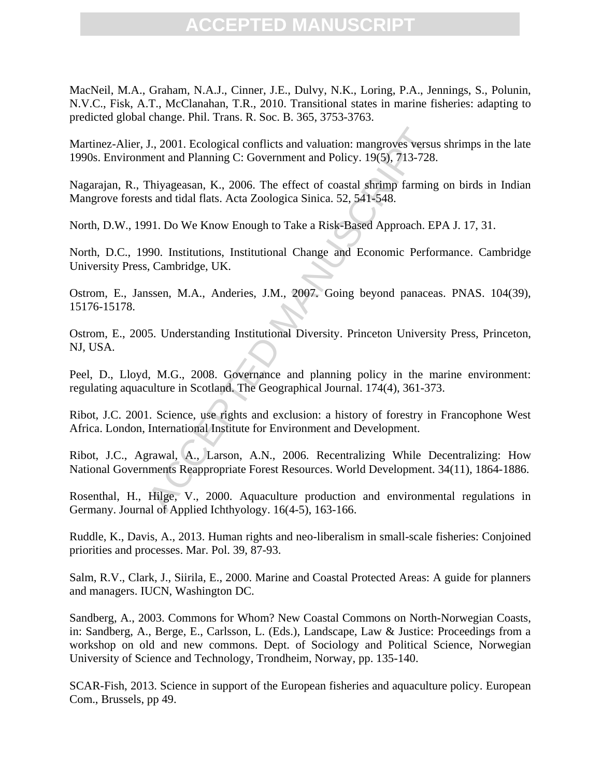MacNeil, M.A., Graham, N.A.J., Cinner, J.E., Dulvy, N.K., Loring, P.A., Jennings, S., Polunin, N.V.C., Fisk, A.T., McClanahan, T.R., 2010. Transitional states in marine fisheries: adapting to predicted global change. Phil. Trans. R. Soc. B. 365, 3753-3763.

J., 2001. Ecological conflicts and valuation: mangroves versus<br>nent and Planning C: Government and Policy. 19(5), 713-728.<br>Thiyageasan, K., 2006. The effect of coastal shrimp farming<br>is and tidal flats. Acta Zoologica Sini Martinez-Alier, J., 2001. Ecological conflicts and valuation: mangroves versus shrimps in the late 1990s. Environment and Planning C: Government and Policy. 19(5), 713-728.

Nagarajan, R., Thiyageasan, K., 2006. The effect of coastal shrimp farming on birds in Indian Mangrove forests and tidal flats. Acta Zoologica Sinica. 52, 541-548.

North, D.W., 1991. Do We Know Enough to Take a Risk-Based Approach. EPA J. 17, 31.

North, D.C., 1990. Institutions, Institutional Change and Economic Performance. Cambridge University Press, Cambridge, UK.

Ostrom, E., Janssen, M.A., Anderies, J.M., 2007. Going beyond panaceas. PNAS. 104(39), 15176-15178.

Ostrom, E., 2005. Understanding Institutional Diversity. Princeton University Press, Princeton, NJ, USA.

Peel, D., Lloyd, M.G., 2008. Governance and planning policy in the marine environment: regulating aquaculture in Scotland. The Geographical Journal. 174(4), 361-373.

Ribot, J.C. 2001. Science, use rights and exclusion: a history of forestry in Francophone West Africa. London, International Institute for Environment and Development.

Ribot, J.C., Agrawal, A., Larson, A.N., 2006. Recentralizing While Decentralizing: How National Governments Reappropriate Forest Resources. World Development. 34(11), 1864-1886.

Rosenthal, H., Hilge, V., 2000. Aquaculture production and environmental regulations in Germany. Journal of Applied Ichthyology. 16(4-5), 163-166.

Ruddle, K., Davis, A., 2013. Human rights and neo-liberalism in small-scale fisheries: Conjoined priorities and processes. Mar. Pol. 39, 87-93.

Salm, R.V., Clark, J., Siirila, E., 2000. Marine and Coastal Protected Areas: A guide for planners and managers. IUCN, Washington DC.

Sandberg, A., 2003. Commons for Whom? New Coastal Commons on North-Norwegian Coasts, in: Sandberg, A., Berge, E., Carlsson, L. (Eds.), Landscape, Law & Justice: Proceedings from a workshop on old and new commons. Dept. of Sociology and Political Science, Norwegian University of Science and Technology, Trondheim, Norway, pp. 135-140.

SCAR-Fish, 2013. Science in support of the European fisheries and aquaculture policy. European Com., Brussels, pp 49.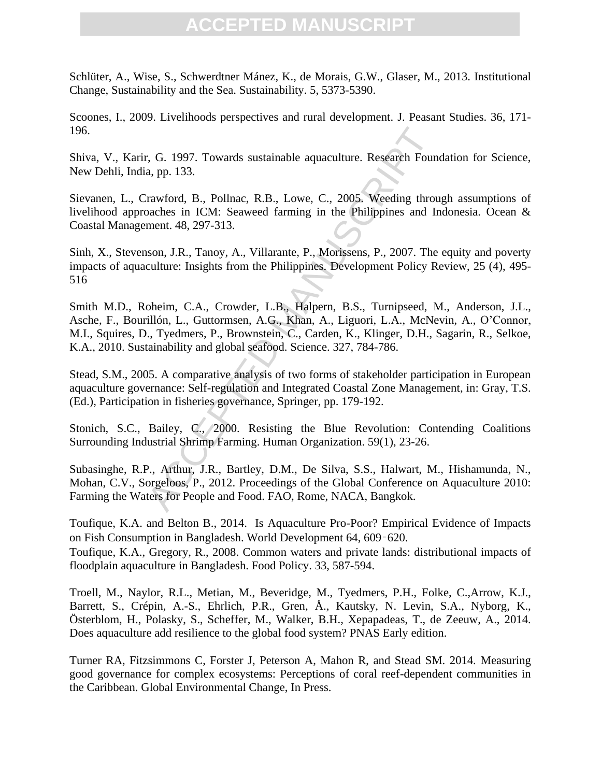Schlüter, A., Wise, S., Schwerdtner Mánez, K., de Morais, G.W., Glaser, M., 2013. Institutional Change, Sustainability and the Sea. Sustainability. 5, 5373-5390.

Scoones, I., 2009. Livelihoods perspectives and rural development. J. Peasant Studies. 36, 171- 196.

Shiva, V., Karir, G. 1997. Towards sustainable aquaculture. Research Foundation for Science, New Dehli, India, pp. 133.

Sievanen, L., Crawford, B., Pollnac, R.B., Lowe, C., 2005. Weeding through assumptions of livelihood approaches in ICM: Seaweed farming in the Philippines and Indonesia. Ocean & Coastal Management. 48, 297-313.

Sinh, X., Stevenson, J.R., Tanoy, A., Villarante, P., Morissens, P., 2007. The equity and poverty impacts of aquaculture: Insights from the Philippines. Development Policy Review, 25 (4), 495- 516

r, G. 1997. Towards sustainable aquaculture. Research Foun<br>a, pp. 133.<br>trawford, B., Pollnac, R.B., Lowe, C., 2005. Weeding throusaches in ICM: Seaweed farming in the Philippines and Ir<br>ment. 48, 297-313.<br>son, J.R., Tanoy, Smith M.D., Roheim, C.A., Crowder, L.B., Halpern, B.S., Turnipseed, M., Anderson, J.L., Asche, F., Bourillón, L., Guttormsen, A.G., Khan, A., Liguori, L.A., McNevin, A., O'Connor, M.I., Squires, D., Tyedmers, P., Brownstein, C., Carden, K., Klinger, D.H., Sagarin, R., Selkoe, K.A., 2010. Sustainability and global seafood. Science. 327, 784-786.

Stead, S.M., 2005. A comparative analysis of two forms of stakeholder participation in European aquaculture governance: Self-regulation and Integrated Coastal Zone Management, in: Gray, T.S. (Ed.), Participation in fisheries governance, Springer, pp. 179-192.

Stonich, S.C., Bailey, C., 2000. Resisting the Blue Revolution: Contending Coalitions Surrounding Industrial Shrimp Farming. Human Organization. 59(1), 23-26.

Subasinghe, R.P., Arthur, J.R., Bartley, D.M., De Silva, S.S., Halwart, M., Hishamunda, N., Mohan, C.V., Sorgeloos, P., 2012. Proceedings of the Global Conference on Aquaculture 2010: Farming the Waters for People and Food. FAO, Rome, NACA, Bangkok.

Toufique, K.A. and Belton B., 2014. Is Aquaculture Pro-Poor? Empirical Evidence of Impacts on Fish Consumption in Bangladesh. World Development 64, 609‑620.

Toufique, K.A., Gregory, R., 2008. Common waters and private lands: distributional impacts of floodplain aquaculture in Bangladesh. Food Policy. 33, 587-594.

Troell, M., Naylor, R.L., Metian, M., Beveridge, M., Tyedmers, P.H., Folke, C.,Arrow, K.J., Barrett, S., Crépin, A.-S., Ehrlich, P.R., Gren, Å., Kautsky, N. Levin, S.A., Nyborg, K., Österblom, H., Polasky, S., Scheffer, M., Walker, B.H., Xepapadeas, T., de Zeeuw, A., 2014. Does aquaculture add resilience to the global food system? PNAS Early edition.

Turner RA, Fitzsimmons C, Forster J, Peterson A, Mahon R, and Stead SM. 2014. Measuring good governance for complex ecosystems: Perceptions of coral reef-dependent communities in the Caribbean. Global Environmental Change, In Press.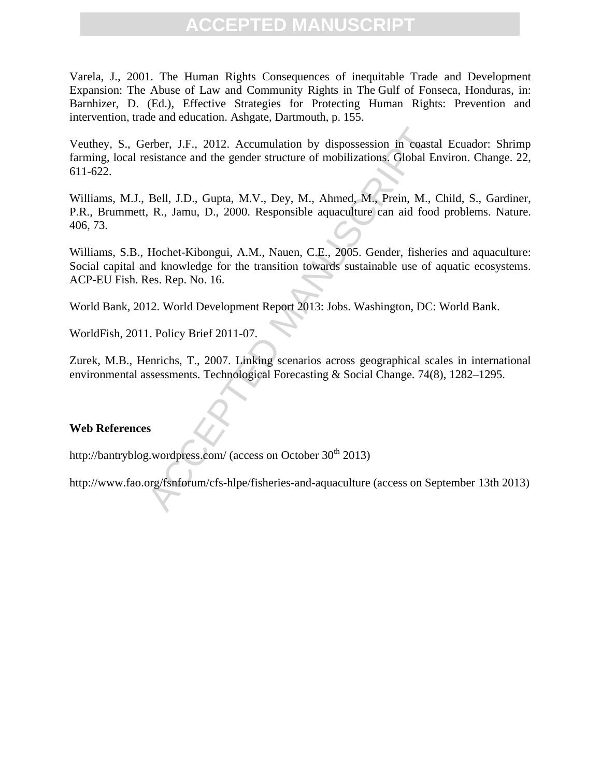Varela, J., 2001. The Human Rights Consequences of inequitable Trade and Development Expansion: The Abuse of Law and Community Rights in The Gulf of Fonseca, Honduras, in: Barnhizer, D. (Ed.), Effective Strategies for Protecting Human Rights: Prevention and intervention, trade and education. Ashgate, Dartmouth, p. 155.

erber, J.F., 2012. Accumulation by dispossession in coasta<br>esistance and the gender structure of mobilizations. Global Er<br>Bell, J.D., Gupta, M.V., Dey, M., Ahmed, M., Prein, M., G.<br>R., Jamu, D., 2000. Responsible aquacultu Veuthey, S., Gerber, J.F., 2012. Accumulation by dispossession in coastal Ecuador: Shrimp farming, local resistance and the gender structure of mobilizations. Global Environ. Change. 22, 611-622.

Williams, M.J., Bell, J.D., Gupta, M.V., Dey, M., Ahmed, M., Prein, M., Child, S., Gardiner, P.R., Brummett, R., Jamu, D., 2000. Responsible aquaculture can aid food problems. Nature. 406, 73.

Williams, S.B., Hochet-Kibongui, A.M., Nauen, C.E., 2005. Gender, fisheries and aquaculture: Social capital and knowledge for the transition towards sustainable use of aquatic ecosystems. ACP-EU Fish. Res. Rep. No. 16.

World Bank, 2012. World Development Report 2013: Jobs. Washington, DC: World Bank.

WorldFish, 2011. Policy Brief 2011-07.

Zurek, M.B., Henrichs, T., 2007. Linking scenarios across geographical scales in international environmental assessments. Technological Forecasting & Social Change*.* 74(8), 1282–1295.

#### **Web References**

http://bantryblog.wordpress.com/ (access on October  $30<sup>th</sup> 2013$ )

http://www.fao.org/fsnforum/cfs-hlpe/fisheries-and-aquaculture (access on September 13th 2013)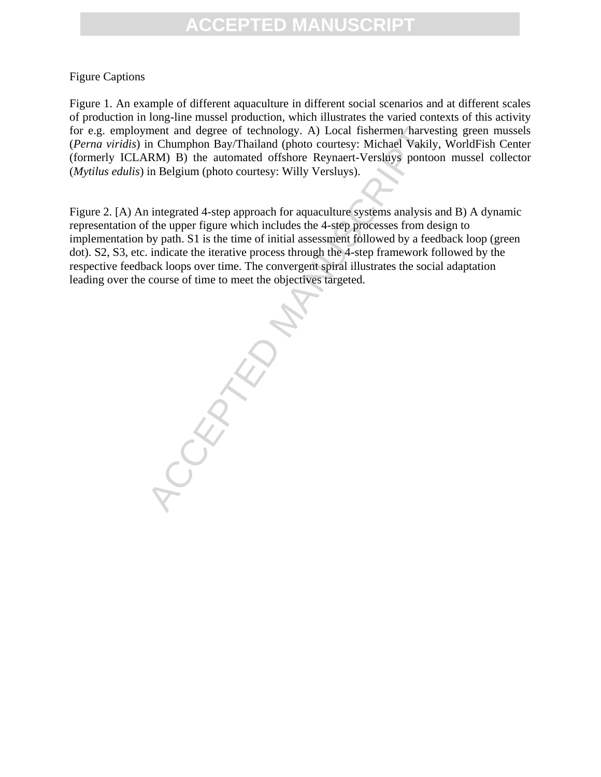#### Figure Captions

Figure 1. An example of different aquaculture in different social scenarios and at different scales of production in long-line mussel production, which illustrates the varied contexts of this activity for e.g. employment and degree of technology. A) Local fishermen harvesting green mussels (*Perna viridis*) in Chumphon Bay/Thailand (photo courtesy: Michael Vakily, WorldFish Center (formerly ICLARM) B) the automated offshore Reynaert-Versluys pontoon mussel collector (*Mytilus edulis*) in Belgium (photo courtesy: Willy Versluys).

Figure 2. [A) An integrated 4-step approach for aquaculture systems analysis and B) A dynamic representation of the upper figure which includes the 4-step processes from design to implementation by path. S1 is the time of initial assessment followed by a feedback loop (green dot). S2, S3, etc. indicate the iterative process through the 4-step framework followed by the respective feedback loops over time. The convergent spiral illustrates the social adaptation leading over the course of time to meet the objectives targeted.

ACCEPTED M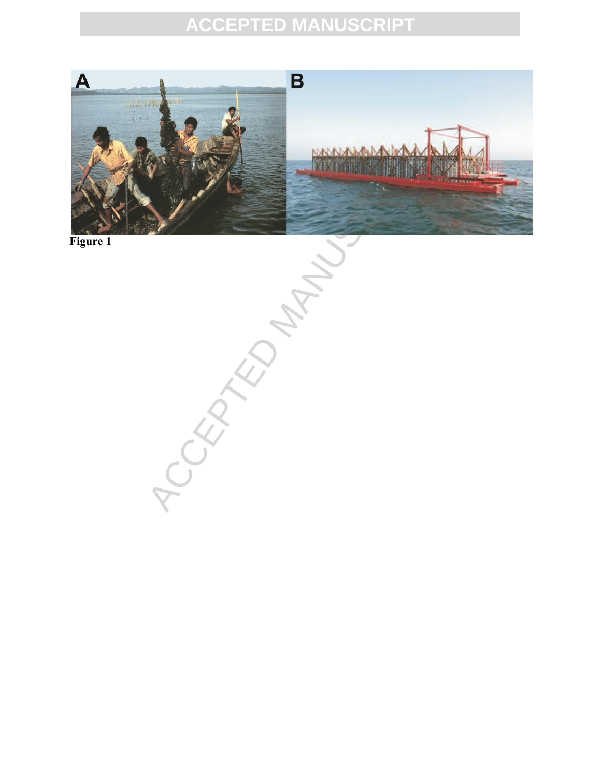

**Figure 1**

ACCEPTED MANUSCRIPT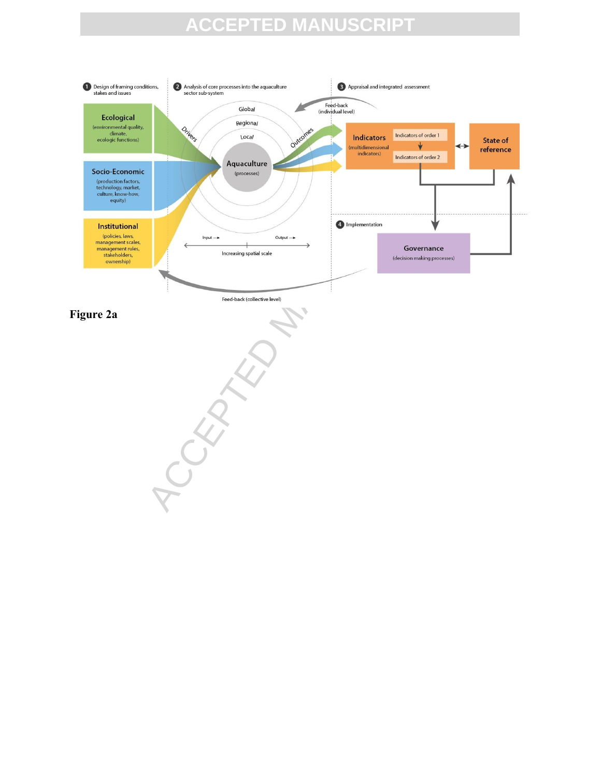